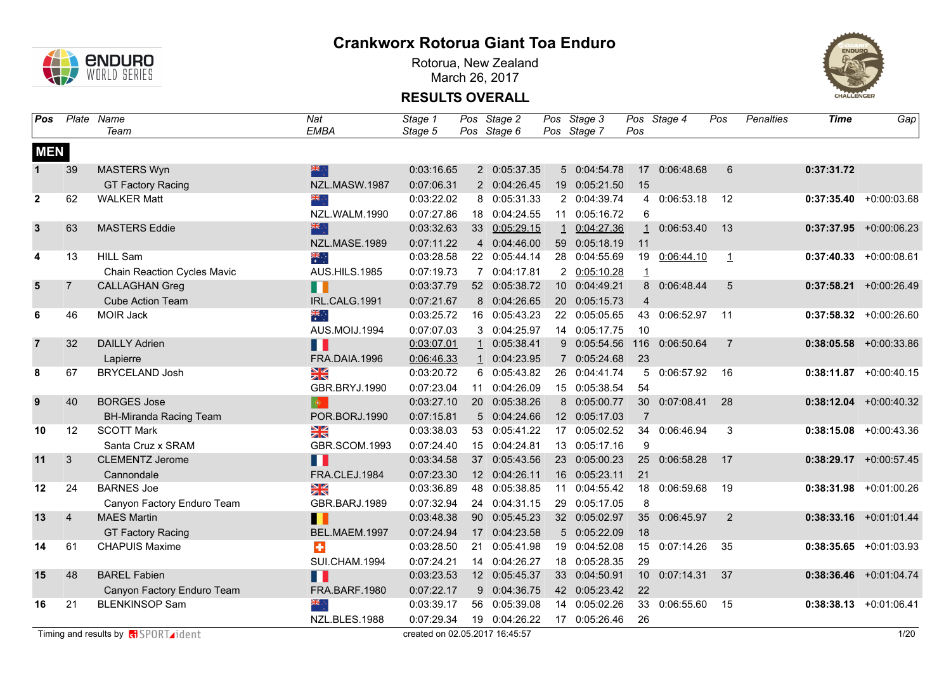

Rotorua, New Zealand March 26, 2017



| Pos                     |                | Plate Name                         | Nat                       | Stage 1    |    | Pos Stage 2   | Pos Stage 3   |                 | Pos Stage 4   | Pos             | <b>Penalties</b> | <b>Time</b> | Gap                       |
|-------------------------|----------------|------------------------------------|---------------------------|------------|----|---------------|---------------|-----------------|---------------|-----------------|------------------|-------------|---------------------------|
|                         |                | Team                               | <b>EMBA</b>               | Stage 5    |    | Pos Stage 6   | Pos Stage 7   | Pos             |               |                 |                  |             |                           |
| <b>MEN</b>              |                |                                    |                           |            |    |               |               |                 |               |                 |                  |             |                           |
| $\mathbf{1}$            | 39             | <b>MASTERS Wyn</b>                 | 米亭                        | 0:03:16.65 |    | 2 0:05:37.35  | 5 0:04:54.78  |                 | 17 0:06:48.68 | 6               |                  | 0:37:31.72  |                           |
|                         |                | <b>GT Factory Racing</b>           | NZL.MASW.1987             | 0:07:06.31 |    | 2 0:04:26.45  | 19 0:05:21.50 | 15              |               |                 |                  |             |                           |
| $\mathbf{2}$            | 62             | <b>WALKER Matt</b>                 | ैं और                     | 0:03:22.02 |    | 8 0:05:31.33  | 2 0:04:39.74  |                 | 4 0:06:53.18  | 12              |                  |             | $0:37:35.40 +0:00:03.68$  |
|                         |                |                                    | NZL.WALM.1990             | 0:07:27.86 | 18 | 0:04:24.55    | 11 0:05:16.72 | 6               |               |                 |                  |             |                           |
| $\overline{\mathbf{3}}$ | 63             | <b>MASTERS Eddie</b>               | 深心                        | 0:03:32.63 |    | 33 0:05:29.15 | 1 0:04:27.36  |                 | 1 0:06:53.40  | 13              |                  |             | $0:37:37.95$ +0:00:06.23  |
|                         |                |                                    | NZL.MASE.1989             | 0:07:11.22 |    | 4 0:04:46.00  | 59 0:05:18.19 | 11              |               |                 |                  |             |                           |
| 4                       | 13             | <b>HILL Sam</b>                    | ैं                        | 0:03:28.58 |    | 22 0:05:44.14 | 28 0:04:55.69 | 19              | 0:06:44.10    | $\overline{1}$  |                  |             | $0:37:40.33$ +0:00:08.61  |
|                         |                | <b>Chain Reaction Cycles Mavic</b> | AUS.HILS.1985             | 0:07:19.73 |    | 7 0:04:17.81  | 2 0:05:10.28  | 1               |               |                 |                  |             |                           |
| $\sqrt{5}$              | $\overline{7}$ | <b>CALLAGHAN Greg</b>              | П                         | 0:03:37.79 |    | 52 0:05:38.72 | 10 0:04:49.21 |                 | 8 0:06:48.44  | $5\phantom{.0}$ |                  |             | $0:37:58.21$ +0:00:26.49  |
|                         |                | <b>Cube Action Team</b>            | IRL.CALG.1991             | 0:07:21.67 |    | 8 0:04:26.65  | 20 0:05:15.73 | 4               |               |                 |                  |             |                           |
| 6                       | 46             | <b>MOIR Jack</b>                   | $\frac{1}{\sqrt{2}}$      | 0:03:25.72 |    | 16 0:05:43.23 | 22 0:05:05.65 |                 | 43 0:06:52.97 | 11              |                  |             | $0:37:58.32 +0:00:26.60$  |
|                         |                |                                    | AUS.MOIJ.1994             | 0:07:07.03 |    | 3 0:04:25.97  | 14 0:05:17.75 | 10              |               |                 |                  |             |                           |
| $\overline{7}$          | 32             | <b>DAILLY Adrien</b>               | Ш                         | 0:03:07.01 |    | 1 0:05:38.41  | 9 0:05:54.56  | 116             | 0:06:50.64    | $\overline{7}$  |                  |             | $0:38:05.58$ +0:00:33.86  |
|                         |                | Lapierre                           | FRA.DAIA.1996             | 0:06:46.33 |    | 0:04:23.95    | 7 0:05:24.68  | 23              |               |                 |                  |             |                           |
| 8                       | 67             | <b>BRYCELAND Josh</b>              | NK<br>ZK                  | 0:03:20.72 |    | 6 0:05:43.82  | 26 0:04:41.74 | 5               | 0:06:57.92    | 16              |                  |             | $0:38:11.87$ +0:00:40.15  |
|                         |                |                                    | GBR.BRYJ.1990             | 0:07:23.04 |    | 11 0:04:26.09 | 15 0:05:38.54 | 54              |               |                 |                  |             |                           |
| 9                       | 40             | <b>BORGES Jose</b>                 | $\langle \bullet \rangle$ | 0:03:27.10 |    | 20 0:05:38.26 | 8 0:05:00.77  | 30 <sup>°</sup> | 0:07:08.41    | 28              |                  |             | $0:38:12.04$ +0:00:40.32  |
|                         |                | <b>BH-Miranda Racing Team</b>      | POR.BORJ.1990             | 0:07:15.81 |    | 5 0:04:24.66  | 12 0:05:17.03 | $\overline{7}$  |               |                 |                  |             |                           |
| 10                      | 12             | <b>SCOTT Mark</b>                  | <u>≫≪</u>                 | 0:03:38.03 |    | 53 0:05:41.22 | 17 0:05:02.52 | 34              | 0:06:46.94    | 3               |                  |             | $0:38:15.08$ +0:00:43.36  |
|                         |                | Santa Cruz x SRAM                  | GBR.SCOM.1993             | 0:07:24.40 |    | 15 0:04:24.81 | 13 0:05:17.16 | 9               |               |                 |                  |             |                           |
| 11                      | 3              | <b>CLEMENTZ Jerome</b>             | Ш                         | 0:03:34.58 |    | 37 0:05:43.56 | 23 0:05:00.23 |                 | 25 0:06:58.28 | 17              |                  |             | $0:38:29.17$ +0:00:57.45  |
|                         |                | Cannondale                         | FRA.CLEJ.1984             | 0:07:23.30 |    | 12 0:04:26.11 | 16 0:05:23.11 | 21              |               |                 |                  |             |                           |
| 12                      | 24             | <b>BARNES Joe</b>                  | <b>NK</b>                 | 0:03:36.89 |    | 48 0:05:38.85 | 11 0:04:55.42 | 18              | 0:06:59.68    | 19              |                  |             | $0:38:31.98$ +0:01:00.26  |
|                         |                | Canyon Factory Enduro Team         | GBR.BARJ.1989             | 0:07:32.94 |    | 24 0:04:31.15 | 29 0:05:17.05 | 8               |               |                 |                  |             |                           |
| 13                      | $\overline{4}$ | <b>MAES Martin</b>                 | П                         | 0:03:48.38 |    | 90 0:05:45.23 | 32 0:05:02.97 |                 | 35 0:06:45.97 | $\overline{2}$  |                  |             | $0:38:33.16$ +0:01:01.44  |
|                         |                | <b>GT Factory Racing</b>           | BEL.MAEM.1997             | 0:07:24.94 |    | 17 0:04:23.58 | 5 0:05:22.09  | 18              |               |                 |                  |             |                           |
| 14                      | 61             | <b>CHAPUIS Maxime</b>              | ÷                         | 0:03:28.50 | 21 | 0:05:41.98    | 19 0:04:52.08 |                 | 15 0:07:14.26 | 35              |                  |             | $0:38:35.65 + 0:01:03.93$ |
|                         |                |                                    | SUI.CHAM.1994             | 0:07:24.21 |    | 14 0:04:26.27 | 18 0:05:28.35 | 29              |               |                 |                  |             |                           |
| 15                      | 48             | <b>BAREL Fabien</b>                | Ш                         | 0:03:23.53 |    | 12 0:05:45.37 | 33 0:04:50.91 |                 | 10 0:07:14.31 | 37              |                  |             | $0:38:36.46$ +0:01:04.74  |
|                         |                | Canyon Factory Enduro Team         | FRA.BARF.1980             | 0:07:22.17 |    | 9 0:04:36.75  | 42 0:05:23.42 | 22              |               |                 |                  |             |                           |
| 16                      | 21             | <b>BLENKINSOP Sam</b>              | ÷, ek                     | 0:03:39.17 | 56 | 0:05:39.08    | 14 0:05:02.26 | 33              | 0:06:55.60    | 15              |                  |             | $0:38:38.13 + 0:01:06.41$ |
|                         |                |                                    | NZL.BLES.1988             | 0:07:29.34 |    | 19 0:04:26.22 | 17 0:05:26.46 | 26              |               |                 |                  |             |                           |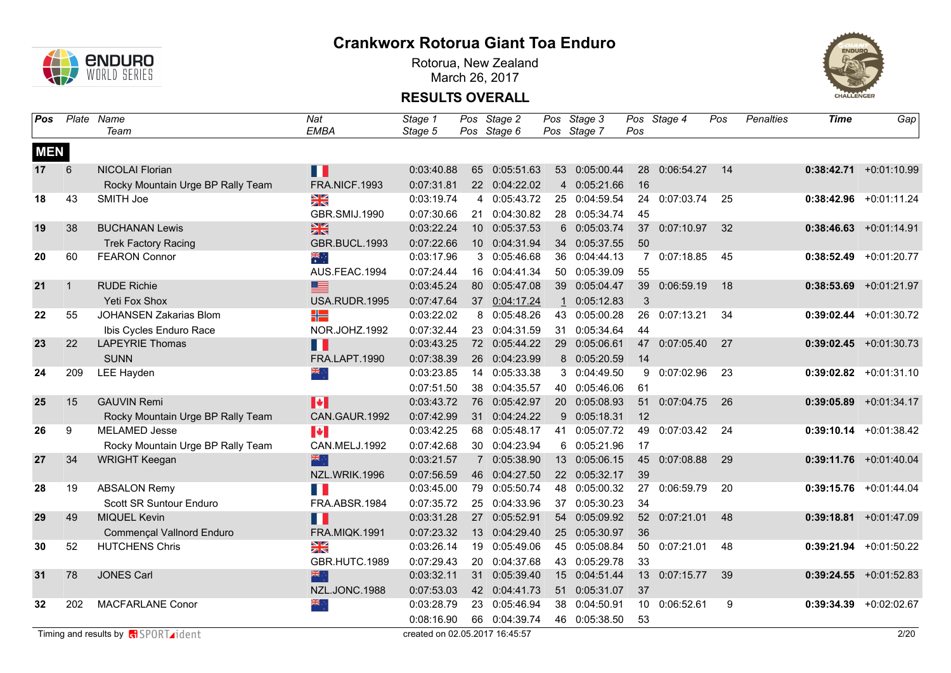

Rotorua, New Zealand March 26, 2017



| <b>Pos</b> |              | Plate Name                        | Nat                   | Stage 1    |                 | Pos Stage 2               | Pos Stage 3   |                 | Pos Stage 4   | Pos | Penalties | <b>Time</b> | Gap                      |
|------------|--------------|-----------------------------------|-----------------------|------------|-----------------|---------------------------|---------------|-----------------|---------------|-----|-----------|-------------|--------------------------|
|            |              | Team                              | <b>EMBA</b>           | Stage 5    |                 | Pos Stage 6               | Pos Stage 7   | Pos             |               |     |           |             |                          |
| <b>MEN</b> |              |                                   |                       |            |                 |                           |               |                 |               |     |           |             |                          |
| 17         | 6            | <b>NICOLAI Florian</b>            | Ш                     | 0:03:40.88 | 65              | 0:05:51.63                | 53 0:05:00.44 |                 | 28 0:06:54.27 | 14  |           |             | $0:38:42.71$ +0:01:10.99 |
|            |              | Rocky Mountain Urge BP Rally Team | FRA.NICF.1993         | 0:07:31.81 |                 | 22 0:04:22.02             | 4 0:05:21.66  | 16              |               |     |           |             |                          |
| 18         | 43           | SMITH Joe                         | X                     | 0:03:19.74 |                 | 4 0:05:43.72              | 25 0:04:59.54 | 24              | 0:07:03.74    | 25  |           | 0:38:42.96  | $+0:01:11.24$            |
|            |              |                                   | GBR.SMIJ.1990         | 0:07:30.66 | 21              | 0:04:30.82                | 28 0:05:34.74 | 45              |               |     |           |             |                          |
| 19         | 38           | <b>BUCHANAN Lewis</b>             | $\frac{N}{N}$         | 0:03:22.24 | 10 <sup>°</sup> | 0:05:37.53                | 6 0:05:03.74  | 37 <sup>2</sup> | 0:07:10.97    | 32  |           |             | $0:38:46.63$ +0:01:14.91 |
|            |              | <b>Trek Factory Racing</b>        | GBR.BUCL.1993         | 0:07:22.66 |                 | 10 0:04:31.94             | 34 0:05:37.55 | 50              |               |     |           |             |                          |
| 20         | 60           | <b>FEARON Connor</b>              | $\frac{1}{2}$         | 0:03:17.96 |                 | 3 0:05:46.68              | 36 0:04:44.13 |                 | 7 0:07:18.85  | 45  |           | 0:38:52.49  | +0:01:20.77              |
|            |              |                                   | AUS.FEAC.1994         | 0:07:24.44 |                 | 16 0:04:41.34             | 50 0:05:39.09 | 55              |               |     |           |             |                          |
| 21         | $\mathbf{1}$ | <b>RUDE Richie</b>                | ≣                     | 0:03:45.24 | 80              | 0:05:47.08                | 39 0:05:04.47 | 39              | 0:06:59.19    | 18  |           |             | $0:38:53.69$ +0:01:21.97 |
|            |              | Yeti Fox Shox                     | USA.RUDR.1995         | 0:07:47.64 |                 | 37 0:04:17.24             | 1 0:05:12.83  | 3               |               |     |           |             |                          |
| 22         | 55           | <b>JOHANSEN Zakarias Blom</b>     | ╬                     | 0:03:22.02 | 8               | 0:05:48.26                | 43 0:05:00.28 | 26              | 0:07:13.21    | 34  |           |             | $0:39:02.44$ +0:01:30.72 |
|            |              | Ibis Cycles Enduro Race           | NOR.JOHZ.1992         | 0:07:32.44 | 23              | 0:04:31.59                | 31 0:05:34.64 | 44              |               |     |           |             |                          |
| 23         | 22           | <b>LAPEYRIE Thomas</b>            | Ш                     | 0:03:43.25 |                 | 72 0:05:44.22             | 29 0:05:06.61 | 47              | 0:07:05.40    | 27  |           |             | $0:39:02.45$ +0:01:30.73 |
|            |              | <b>SUNN</b>                       | FRA.LAPT.1990         | 0:07:38.39 |                 | 26 0:04:23.99             | 8 0:05:20.59  | 14              |               |     |           |             |                          |
| 24         | 209          | <b>LEE Hayden</b>                 | ैं हैं                | 0:03:23.85 |                 | 14 0:05:33.38             | 3 0:04:49.50  | 9               | 0:07:02.96    | 23  |           |             | $0:39:02.82$ +0:01:31.10 |
|            |              |                                   |                       | 0:07:51.50 |                 | 38 0:04:35.57             | 40 0:05:46.06 | 61              |               |     |           |             |                          |
| 25         | 15           | <b>GAUVIN Remi</b>                | H                     | 0:03:43.72 |                 | 76 0:05:42.97             | 20 0:05:08.93 | 51              | 0:07:04.75    | 26  |           | 0:39:05.89  | $+0:01:34.17$            |
|            |              | Rocky Mountain Urge BP Rally Team | CAN.GAUR.1992         | 0:07:42.99 |                 | 31 0:04:24.22             | 9 0:05:18.31  | 12              |               |     |           |             |                          |
| 26         | 9            | <b>MELAMED Jesse</b>              | $\blacktriangleright$ | 0:03:42.25 |                 | 68 0:05:48.17             | 41 0:05:07.72 | 49              | 0:07:03.42    | 24  |           | 0:39:10.14  | $+0:01:38.42$            |
|            |              | Rocky Mountain Urge BP Rally Team | CAN.MELJ.1992         | 0:07:42.68 |                 | 30 0:04:23.94             | 6 0:05:21.96  | 17              |               |     |           |             |                          |
| 27         | 34           | <b>WRIGHT Keegan</b>              | 米                     | 0:03:21.57 |                 | 0:05:38.90<br>$7^{\circ}$ | 13 0:05:06.15 | 45              | 0:07:08.88    | 29  |           |             | $0:39:11.76$ +0:01:40.04 |
|            |              |                                   | NZL.WRIK.1996         | 0:07:56.59 |                 | 46 0:04:27.50             | 22 0:05:32.17 | 39              |               |     |           |             |                          |
| 28         | 19           | <b>ABSALON Remy</b>               | E F                   | 0:03:45.00 | 79              | 0:05:50.74                | 48 0:05:00.32 | 27              | 0:06:59.79    | 20  |           |             | $0:39:15.76$ +0:01:44.04 |
|            |              | Scott SR Suntour Enduro           | FRA.ABSR.1984         | 0:07:35.72 | 25              | 0:04:33.96                | 37 0:05:30.23 | 34              |               |     |           |             |                          |
| 29         | 49           | <b>MIQUEL Kevin</b>               | N.                    | 0:03:31.28 |                 | 27 0:05:52.91             | 54 0:05:09.92 |                 | 52 0:07:21.01 | 48  |           |             | $0:39:18.81$ +0:01:47.09 |
|            |              | <b>Commençal Vallnord Enduro</b>  | FRA.MIQK.1991         | 0:07:23.32 |                 | 13 0:04:29.40             | 25 0:05:30.97 | 36              |               |     |           |             |                          |
| 30         | 52           | <b>HUTCHENS Chris</b>             | ¥≼                    | 0:03:26.14 | 19              | 0:05:49.06                | 45 0:05:08.84 |                 | 50 0:07:21.01 | 48  |           |             | $0:39:21.94$ +0:01:50.22 |
|            |              |                                   | GBR.HUTC.1989         | 0:07:29.43 |                 | 20 0:04:37.68             | 43 0:05:29.78 | 33              |               |     |           |             |                          |
| 31         | 78           | <b>JONES Carl</b>                 | 深心                    | 0:03:32.11 |                 | 31 0:05:39.40             | 15 0:04:51.44 |                 | 13 0:07:15.77 | 39  |           |             | $0:39:24.55$ +0:01:52.83 |
|            |              |                                   | NZL.JONC.1988         | 0:07:53.03 |                 | 42 0:04:41.73             | 51 0:05:31.07 | 37              |               |     |           |             |                          |
| 32         | 202          | <b>MACFARLANE Conor</b>           | ÷, ≫k                 | 0:03:28.79 | 23              | 0:05:46.94                | 38 0:04:50.91 | 10 <sup>°</sup> | 0:06:52.61    | 9   |           | 0:39:34.39  | +0:02:02.67              |
|            |              |                                   |                       | 0:08:16.90 | 66              | 0:04:39.74                | 46 0:05:38.50 | 53              |               |     |           |             |                          |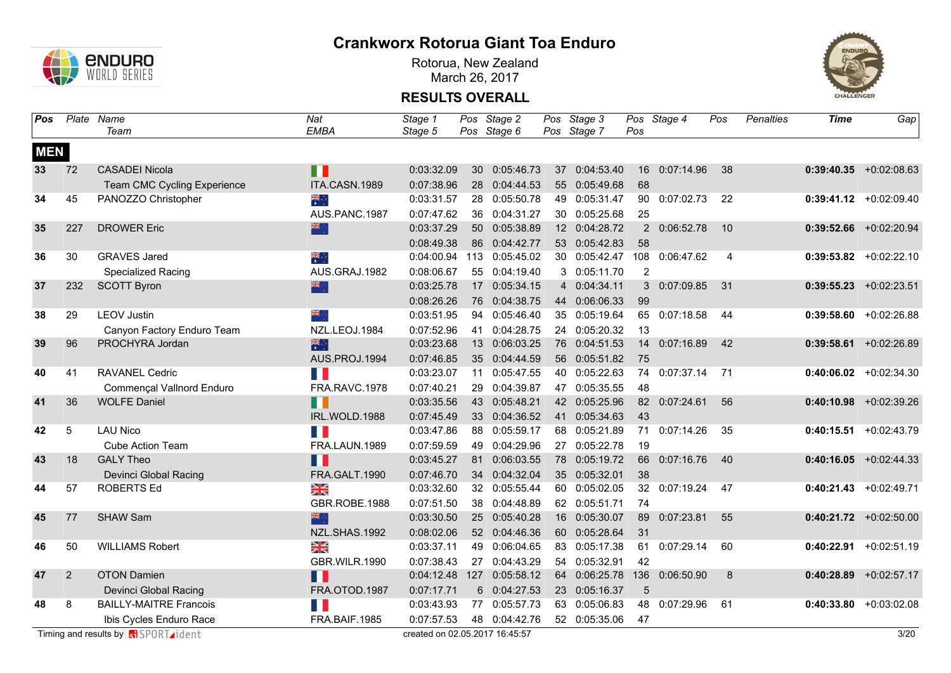

Rotorua, New Zealand March 26, 2017



| Pos        |     | Plate Name                    | Nat                  | Stage 1    |     | Pos Stage 2               | Pos Stage 3   |     | Pos Stage 4    | Pos | <b>Penalties</b> | <b>Time</b> | Gap                       |
|------------|-----|-------------------------------|----------------------|------------|-----|---------------------------|---------------|-----|----------------|-----|------------------|-------------|---------------------------|
|            |     | Team                          | <b>EMBA</b>          | Stage 5    |     | Pos Stage 6               | Pos Stage 7   | Pos |                |     |                  |             |                           |
| <b>MEN</b> |     |                               |                      |            |     |                           |               |     |                |     |                  |             |                           |
| 33         | 72  | <b>CASADEI Nicola</b>         | Ш                    | 0:03:32.09 | 30  | 0:05:46.73                | 37 0:04:53.40 |     | 16 0:07:14.96  | 38  |                  |             | $0:39:40.35$ +0:02:08.63  |
|            |     | Team CMC Cycling Experience   | ITA.CASN.1989        | 0:07:38.96 |     | 28 0:04:44.53             | 55 0:05:49.68 | 68  |                |     |                  |             |                           |
| 34         | 45  | PANOZZO Christopher           | $\frac{1}{\sqrt{2}}$ | 0:03:31.57 | 28  | 0:05:50.78                | 49 0:05:31.47 | 90  | 0:07:02.73     | 22  |                  | 0:39:41.12  | $+0.02:09.40$             |
|            |     |                               | AUS.PANC.1987        | 0:07:47.62 | 36  | 0:04:31.27                | 30 0:05:25.68 | 25  |                |     |                  |             |                           |
| 35         | 227 | <b>DROWER Eric</b>            | 米亭                   | 0:03:37.29 |     | 50 0:05:38.89             | 12 0:04:28.72 |     | 2 0:06:52.78   | 10  |                  |             | $0:39:52.66$ +0:02:20.94  |
|            |     |                               |                      | 0:08:49.38 |     | 86 0:04:42.77             | 53 0:05:42.83 | 58  |                |     |                  |             |                           |
| 36         | 30  | <b>GRAVES Jared</b>           | ्रेलि<br>सं          | 0:04:00.94 | 113 | 0:05:45.02                | 30 0:05:42.47 | 108 | 0:06:47.62     | 4   |                  |             | $0:39:53.82$ +0:02:22.10  |
|            |     | Specialized Racing            | AUS.GRAJ.1982        | 0:08:06.67 |     | 55 0:04:19.40             | 3 0:05:11.70  | 2   |                |     |                  |             |                           |
| 37         | 232 | <b>SCOTT Byron</b>            | 米                    | 0:03:25.78 |     | 17 0:05:34.15             | 4 0:04:34.11  |     | 3 0:07:09.85   | 31  |                  |             | $0:39:55.23 + 0:02:23.51$ |
|            |     |                               |                      | 0:08:26.26 |     | 76 0:04:38.75             | 44 0:06:06.33 | 99  |                |     |                  |             |                           |
| 38         | 29  | <b>LEOV Justin</b>            | ang ∴                | 0:03:51.95 |     | 94 0:05:46.40             | 35 0:05:19.64 |     | 65 0:07:18.58  | 44  |                  |             | $0:39:58.60$ +0:02:26.88  |
|            |     | Canyon Factory Enduro Team    | NZL.LEOJ.1984        | 0:07:52.96 | 41  | 0:04:28.75                | 24 0:05:20.32 | 13  |                |     |                  |             |                           |
| 39         | 96  | PROCHYRA Jordan               | 米啊                   | 0:03:23.68 |     | 13 0:06:03.25             | 76 0:04:51.53 |     | 14 0:07:16.89  | 42  |                  |             | $0:39:58.61$ +0:02:26.89  |
|            |     |                               | AUS.PROJ.1994        | 0:07:46.85 |     | 35 0:04:44.59             | 56 0:05:51.82 | 75  |                |     |                  |             |                           |
| 40         | 41  | <b>RAVANEL Cedric</b>         | n n                  | 0:03:23.07 | 11  | 0:05:47.55                | 40 0:05:22.63 |     | 74 0:07:37.14  | 71  |                  |             | $0:40:06.02$ +0:02:34.30  |
|            |     | Commençal Vallnord Enduro     | FRA.RAVC.1978        | 0:07:40.21 | 29  | 0:04:39.87                | 47 0:05:35.55 | 48  |                |     |                  |             |                           |
| 41         | 36  | <b>WOLFE Daniel</b>           | П                    | 0:03:35.56 |     | 43 0:05:48.21             | 42 0:05:25.96 |     | 82 0:07:24.61  | 56  |                  |             | $0:40:10.98$ +0:02:39.26  |
|            |     |                               | IRL.WOLD.1988        | 0:07:45.49 |     | 33 0:04:36.52             | 41 0:05:34.63 | 43  |                |     |                  |             |                           |
| 42         | 5   | <b>LAU Nico</b>               | H B                  | 0:03:47.86 | 88  | 0:05:59.17                | 68 0:05:21.89 | 71  | 0:07:14.26     | 35  |                  | 0:40:15.51  | $+0:02:43.79$             |
|            |     | <b>Cube Action Team</b>       | FRA.LAUN.1989        | 0:07:59.59 | 49  | 0:04:29.96                | 27 0:05:22.78 | 19  |                |     |                  |             |                           |
| 43         | 18  | <b>GALY Theo</b>              | Ш                    | 0:03:45.27 | 81  | 0:06:03.55                | 78 0:05:19.72 | 66  | 0:07:16.76     | 40  |                  |             | $0:40:16.05$ +0:02:44.33  |
|            |     | Devinci Global Racing         | FRA.GALT.1990        | 0:07:46.70 |     | 34 0:04:32.04             | 35 0:05:32.01 | 38  |                |     |                  |             |                           |
| 44         | 57  | <b>ROBERTS Ed</b>             | X                    | 0:03:32.60 |     | 32 0:05:55.44             | 60 0:05:02.05 |     | 32 0:07:19.24  | 47  |                  | 0:40:21.43  | $+0:02:49.71$             |
|            |     |                               | GBR.ROBE.1988        | 0:07:51.50 |     | 38 0:04:48.89             | 62 0:05:51.71 | 74  |                |     |                  |             |                           |
| 45         | 77  | <b>SHAW Sam</b>               | 深心                   | 0:03:30.50 |     | 25 0:05:40.28             | 16 0:05:30.07 | 89  | 0:07:23.81     | 55  |                  |             | $0:40:21.72$ +0:02:50.00  |
|            |     |                               | NZL.SHAS.1992        | 0:08:02.06 |     | 52 0:04:46.36             | 60 0:05:28.64 | 31  |                |     |                  |             |                           |
| 46         | 50  | <b>WILLIAMS Robert</b>        | X                    | 0:03:37.11 | 49  | 0:06:04.65                | 83 0:05:17.38 | 61  | 0:07:29.14     | 60  |                  |             | $0:40:22.91$ +0:02:51.19  |
|            |     |                               | GBR.WILR.1990        | 0:07:38.43 |     | 27 0:04:43.29             | 54 0:05:32.91 | 42  |                |     |                  |             |                           |
| 47         | 2   | <b>OTON Damien</b>            | Ш                    |            |     | 0:04:12.48 127 0:05:58.12 | 64 0:06:25.78 |     | 136 0:06:50.90 | 8   |                  |             | $0:40:28.89$ +0:02:57.17  |
|            |     | <b>Devinci Global Racing</b>  | <b>FRA.OTOD.1987</b> | 0:07:17.71 |     | 6 0:04:27.53              | 23 0:05:16.37 | 5   |                |     |                  |             |                           |
| 48         | 8   | <b>BAILLY-MAITRE Francois</b> | H                    | 0:03:43.93 | 77  | 0:05:57.73                | 63 0:05:06.83 |     | 48 0:07:29.96  | 61  |                  |             | $0:40:33.80 + 0:03:02.08$ |
|            |     | Ibis Cycles Enduro Race       | FRA.BAIF.1985        | 0:07:57.53 |     | 48 0:04:42.76             | 52 0:05:35.06 | 47  |                |     |                  |             |                           |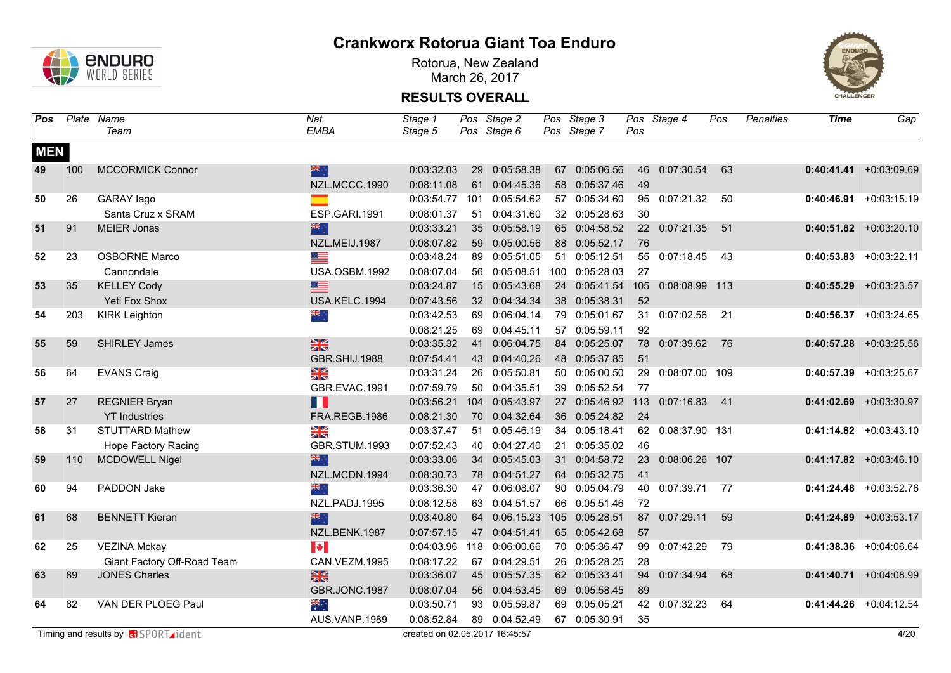

Rotorua, New Zealand March 26, 2017



| <b>Pos</b> |     | Plate Name                                   | Nat                   | Stage 1                        |     | Pos Stage 2   | Pos Stage 3    |     | Pos Stage 4       | Pos | Penalties | Time       | Gap                       |
|------------|-----|----------------------------------------------|-----------------------|--------------------------------|-----|---------------|----------------|-----|-------------------|-----|-----------|------------|---------------------------|
|            |     | Team                                         | <b>EMBA</b>           | Stage 5                        |     | Pos Stage 6   | Pos Stage 7    | Pos |                   |     |           |            |                           |
| <b>MEN</b> |     |                                              |                       |                                |     |               |                |     |                   |     |           |            |                           |
| 49         | 100 | <b>MCCORMICK Connor</b>                      | 米亭                    | 0:03:32.03                     | 29  | 0:05:58.38    | 67 0:05:06.56  |     | 46 0:07:30.54     | 63  |           |            | $0:40:41.41 + 0:03:09.69$ |
|            |     |                                              | NZL.MCCC.1990         | 0:08:11.08                     |     | 61 0:04:45.36 | 58 0:05:37.46  | 49  |                   |     |           |            |                           |
| 50         | 26  | GARAY lago                                   | ▅                     | 0:03:54.77                     | 101 | 0:05:54.62    | 57 0:05:34.60  |     | 95 0:07:21.32     | 50  |           |            | $0:40:46.91 + 0:03:15.19$ |
|            |     | Santa Cruz x SRAM                            | ESP.GARI.1991         | 0:08:01.37                     |     | 51 0:04:31.60 | 32 0:05:28.63  | 30  |                   |     |           |            |                           |
| 51         | 91  | <b>MEIER Jonas</b>                           | 米亭                    | 0:03:33.21                     |     | 35 0:05:58.19 | 65 0:04:58.52  |     | 22 0:07:21.35     | 51  |           |            | $0:40:51.82$ +0:03:20.10  |
|            |     |                                              | NZL.MEIJ.1987         | 0:08:07.82                     |     | 59 0:05:00.56 | 88 0:05:52.17  | 76  |                   |     |           |            |                           |
| 52         | 23  | <b>OSBORNE Marco</b>                         | <u> a s</u>           | 0:03:48.24                     |     | 89 0:05:51.05 | 51 0:05:12.51  |     | 55 0:07:18.45     | 43  |           | 0:40:53.83 | $+0:03:22.11$             |
|            |     | Cannondale                                   | <b>USA.OSBM.1992</b>  | 0:08:07.04                     |     | 56 0:05:08.51 | 100 0:05:28.03 | 27  |                   |     |           |            |                           |
| 53         | 35  | <b>KELLEY Cody</b>                           | ▇                     | 0:03:24.87                     |     | 15 0:05:43.68 | 24 0:05:41.54  | 105 | 0:08:08.99 113    |     |           | 0:40:55.29 | $+0:03:23.57$             |
|            |     | Yeti Fox Shox                                | USA.KELC.1994         | 0:07:43.56                     |     | 32 0:04:34.34 | 38 0:05:38.31  | 52  |                   |     |           |            |                           |
| 54         | 203 | <b>KIRK Leighton</b>                         | ं, ब्रह               | 0:03:42.53                     | 69  | 0:06:04.14    | 79 0:05:01.67  |     | 31 0:07:02.56     | 21  |           |            | $0:40:56.37$ +0:03:24.65  |
|            |     |                                              |                       | 0:08:21.25                     |     | 69 0:04:45.11 | 57 0:05:59.11  | 92  |                   |     |           |            |                           |
| 55         | 59  | <b>SHIRLEY James</b>                         | 黑                     | 0:03:35.32                     | 41  | 0:06:04.75    | 84 0:05:25.07  |     | 78 0:07:39.62     | 76  |           |            | $0:40:57.28$ +0:03:25.56  |
|            |     |                                              | GBR.SHIJ.1988         | 0:07:54.41                     |     | 43 0:04:40.26 | 48 0:05:37.85  | 51  |                   |     |           |            |                           |
| 56         | 64  | <b>EVANS Craig</b>                           | X                     | 0:03:31.24                     |     | 26 0:05:50.81 | 50 0:05:00.50  | 29  | 0:08:07.00 109    |     |           |            | $0:40:57.39$ +0:03:25.67  |
|            |     |                                              | GBR.EVAC.1991         | 0:07:59.79                     |     | 50 0:04:35.51 | 39 0:05:52.54  | 77  |                   |     |           |            |                           |
| 57         | 27  | <b>REGNIER Bryan</b>                         | H T                   | 0:03:56.21                     | 104 | 0:05:43.97    | 27 0:05:46.92  |     | 113 0:07:16.83    | 41  |           |            | $0:41:02.69$ +0:03:30.97  |
|            |     | <b>YT</b> Industries                         | FRA.REGB.1986         | 0:08:21.30                     |     | 70 0:04:32.64 | 36 0:05:24.82  | 24  |                   |     |           |            |                           |
| 58         | 31  | <b>STUTTARD Mathew</b>                       | X                     | 0:03:37.47                     |     | 51 0:05:46.19 | 34 0:05:18.41  |     | 62 0:08:37.90 131 |     |           |            | $0:41:14.82$ +0:03:43.10  |
|            |     | <b>Hope Factory Racing</b>                   | GBR.STUM.1993         | 0:07:52.43                     |     | 40 0:04:27.40 | 21 0:05:35.02  | 46  |                   |     |           |            |                           |
| 59         | 110 | <b>MCDOWELL Nigel</b>                        | 米宁                    | 0:03:33.06                     |     | 34 0:05:45.03 | 31 0:04:58.72  |     | 23 0:08:06.26 107 |     |           |            | $0:41:17.82$ +0:03:46.10  |
|            |     |                                              | NZL.MCDN.1994         | 0:08:30.73                     |     | 78 0:04:51.27 | 64 0:05:32.75  | 41  |                   |     |           |            |                           |
| 60         | 94  | PADDON Jake                                  | ैं क्षेत्र            | 0:03:36.30                     |     | 47 0:06:08.07 | 90 0:05:04.79  |     | 40 0:07:39.71     | 77  |           |            | $0:41:24.48$ +0:03:52.76  |
|            |     |                                              | NZL.PADJ.1995         | 0:08:12.58                     |     | 63 0:04:51.57 | 66 0:05:51.46  | 72  |                   |     |           |            |                           |
| 61         | 68  | <b>BENNETT Kieran</b>                        | 深心                    | 0:03:40.80                     |     | 64 0:06:15.23 | 105 0:05:28.51 |     | 87 0:07:29.11     | 59  |           |            | $0:41:24.89$ +0:03:53.17  |
|            |     |                                              | NZL.BENK.1987         | 0:07:57.15                     | 47  | 0:04:51.41    | 65 0:05:42.68  | 57  |                   |     |           |            |                           |
| 62         | 25  | <b>VEZINA Mckay</b>                          | $\blacktriangleright$ | 0:04:03.96                     | 118 | 0:06:00.66    | 70 0:05:36.47  | 99  | 0:07:42.29        | 79  |           |            | $0:41:38.36$ +0:04:06.64  |
|            |     | Giant Factory Off-Road Team                  | CAN.VEZM.1995         | 0:08:17.22                     |     | 67 0:04:29.51 | 26 0:05:28.25  | 28  |                   |     |           |            |                           |
| 63         | 89  | <b>JONES Charles</b>                         | $\frac{N}{N}$         | 0:03:36.07                     |     | 45 0:05:57.35 | 62 0:05:33.41  |     | 94 0:07:34.94     | 68  |           |            | $0:41:40.71$ +0:04:08.99  |
|            |     |                                              | GBR.JONC.1987         | 0:08:07.04                     |     | 56 0:04:53.45 | 69 0:05:58.45  | 89  |                   |     |           |            |                           |
| 64         | 82  | VAN DER PLOEG Paul                           | ैं*ँ                  | 0:03:50.71                     |     | 93 0:05:59.87 | 69 0:05:05.21  |     | 42 0:07:32.23     | 64  |           |            | $0:41:44.26$ +0:04:12.54  |
|            |     |                                              | AUS.VANP.1989         | 0:08:52.84                     |     | 89 0:04:52.49 | 67 0:05:30.91  | 35  |                   |     |           |            |                           |
|            |     | Timing and results by $\sqrt{d}$ SPORT ident |                       | created on 02.05.2017 16:45:57 |     |               |                |     |                   |     |           |            | 4/20                      |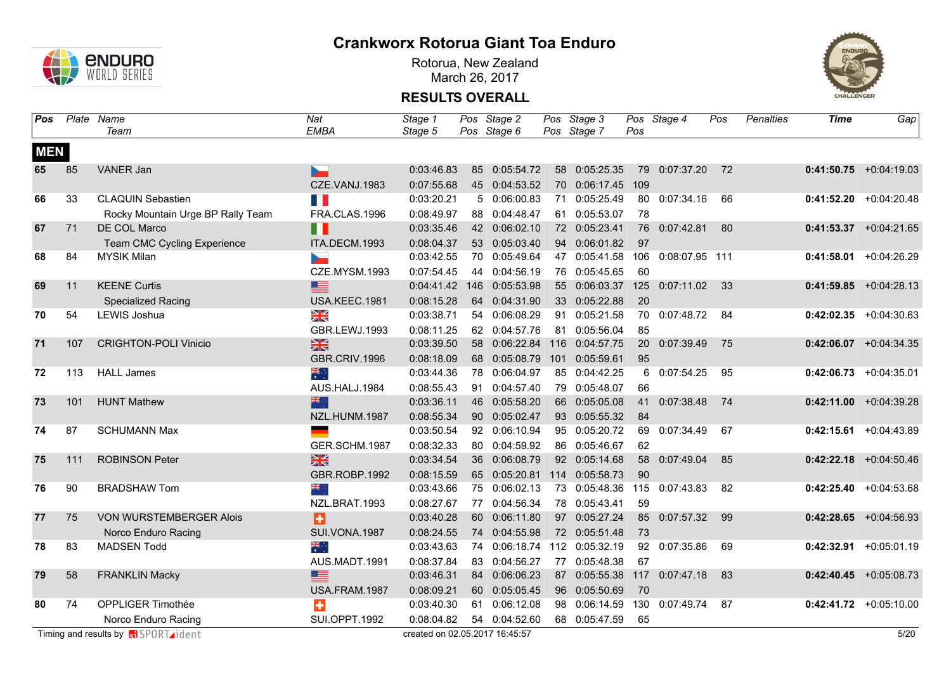

Rotorua, New Zealand March 26, 2017



| <b>Pos</b> |     | Plate Name                                 | Nat                  | Stage 1                        |     | Pos Stage 2                     | Pos Stage 3    |     | Pos Stage 4    | Pos | <b>Penalties</b> | <b>Time</b> | Gap                      |
|------------|-----|--------------------------------------------|----------------------|--------------------------------|-----|---------------------------------|----------------|-----|----------------|-----|------------------|-------------|--------------------------|
|            |     | Team                                       | EMBA                 | Stage 5                        |     | Pos Stage 6                     | Pos Stage 7    | Pos |                |     |                  |             |                          |
| <b>MEN</b> |     |                                            |                      |                                |     |                                 |                |     |                |     |                  |             |                          |
| 65         | 85  | VANER Jan                                  | ь                    | 0:03:46.83                     |     | 85 0:05:54.72                   | 58 0:05:25.35  |     | 79 0:07:37.20  | 72  |                  |             | $0:41:50.75$ +0:04:19.03 |
|            |     |                                            | CZE.VANJ.1983        | 0:07:55.68                     |     | 45 0:04:53.52                   | 70 0:06:17.45  | 109 |                |     |                  |             |                          |
| 66         | 33  | <b>CLAQUIN Sebastien</b>                   |                      | 0:03:20.21                     |     | 50:06:00.83                     | 71 0:05:25.49  |     | 80 0:07:34.16  | 66  |                  |             | $0:41:52.20 +0:04:20.48$ |
|            |     | Rocky Mountain Urge BP Rally Team          | FRA.CLAS.1996        | 0:08:49.97                     |     | 88 0:04:48.47                   | 61 0:05:53.07  | 78  |                |     |                  |             |                          |
| 67         | 71  | DE COL Marco                               | п                    | 0:03:35.46                     |     | 42 0:06:02.10                   | 72 0:05:23.41  |     | 76 0:07:42.81  | 80  |                  |             | $0:41:53.37$ +0:04:21.65 |
|            |     | Team CMC Cycling Experience                | ITA.DECM.1993        | 0:08:04.37                     |     | 53 0:05:03.40                   | 94 0:06:01.82  | 97  |                |     |                  |             |                          |
| 68         | 84  | <b>MYSIK Milan</b>                         | <b>Designation</b>   | 0:03:42.55                     |     | 70 0:05:49.64                   | 47 0:05:41.58  | 106 | 0:08:07.95 111 |     |                  | 0:41:58.01  | $+0:04:26.29$            |
|            |     |                                            | CZE.MYSM.1993        | 0:07:54.45                     |     | 44 0:04:56.19                   | 76 0:05:45.65  | 60  |                |     |                  |             |                          |
| 69         | 11  | <b>KEENE Curtis</b>                        | ≣                    | 0:04:41.42                     | 146 | 0:05:53.98                      | 55 0:06:03.37  | 125 | 0:07:11.02     | 33  |                  |             | $0:41:59.85$ +0:04:28.13 |
|            |     | <b>Specialized Racing</b>                  | USA.KEEC.1981        | 0:08:15.28                     |     | 64 0:04:31.90                   | 33 0:05:22.88  | 20  |                |     |                  |             |                          |
| 70         | 54  | LEWIS Joshua                               | Ж                    | 0:03:38.71                     |     | 54 0:06:08.29                   | 91 0:05:21.58  | 70  | 0:07:48.72     | 84  |                  |             | $0:42:02.35$ +0:04:30.63 |
|            |     |                                            | GBR.LEWJ.1993        | 0:08:11.25                     |     | 62 0:04:57.76                   | 81 0:05:56.04  | 85  |                |     |                  |             |                          |
| 71         | 107 | <b>CRIGHTON-POLI Vinicio</b>               | $rac{N}{N}$          | 0:03:39.50                     |     | 58 0:06:22.84                   | 116 0:04:57.75 | 20  | 0:07:39.49     | 75  |                  |             | $0:42:06.07$ +0:04:34.35 |
|            |     |                                            | GBR.CRIV.1996        | 0:08:18.09                     |     | 68  0:05:08.79  101  0:05:59.61 |                | 95  |                |     |                  |             |                          |
| 72         | 113 | <b>HALL James</b>                          | ्हें                 | 0:03:44.36                     | 78  | 0:06:04.97                      | 85 0:04:42.25  | 6   | 0:07:54.25     | 95  |                  |             | $0:42:06.73$ +0:04:35.01 |
|            |     |                                            | AUS.HALJ.1984        | 0:08:55.43                     | 91  | 0:04:57.40                      | 79 0:05:48.07  | 66  |                |     |                  |             |                          |
| 73         | 101 | <b>HUNT Mathew</b>                         | 深心                   | 0:03:36.11                     | 46  | 0:05:58.20                      | 66 0:05:05.08  | 41  | 0:07:38.48     | 74  |                  |             | $0:42:11.00$ +0:04:39.28 |
|            |     |                                            | NZL.HUNM.1987        | 0:08:55.34                     |     | 90 0:05:02.47                   | 93 0:05:55.32  | 84  |                |     |                  |             |                          |
| 74         | 87  | <b>SCHUMANN Max</b>                        |                      | 0:03:50.54                     |     | 92 0:06:10.94                   | 95 0:05:20.72  | 69  | 0:07:34.49     | 67  |                  |             | $0:42:15.61$ +0:04:43.89 |
|            |     |                                            | GER.SCHM.1987        | 0:08:32.33                     |     | 80 0:04:59.92                   | 86 0:05:46.67  | 62  |                |     |                  |             |                          |
| 75         | 111 | <b>ROBINSON Peter</b>                      | 黑                    | 0:03:34.54                     |     | 36 0:06:08.79                   | 92 0:05:14.68  |     | 58 0:07:49.04  | 85  |                  |             | $0:42:22.18$ +0:04:50.46 |
|            |     |                                            | GBR.ROBP.1992        | 0:08:15.59                     |     | 65 0:05:20.81 114 0:05:58.73    |                | 90  |                |     |                  |             |                          |
| 76         | 90  | <b>BRADSHAW Tom</b>                        | ्रेल                 | 0:03:43.66                     |     | 75 0:06:02.13                   | 73 0:05:48.36  |     | 115 0:07:43.83 | 82  |                  |             | $0:42:25.40$ +0:04:53.68 |
|            |     |                                            | NZL.BRAT.1993        | 0:08:27.67                     |     | 77 0:04:56.34                   | 78 0:05:43.41  | 59  |                |     |                  |             |                          |
| 77         | 75  | <b>VON WURSTEMBERGER Alois</b>             | Ð                    | 0:03:40.28                     |     | 60 0:06:11.80                   | 97 0:05:27.24  |     | 85 0:07:57.32  | 99  |                  |             | $0:42:28.65$ +0:04:56.93 |
|            |     | Norco Enduro Racing                        | SUI.VONA.1987        | 0:08:24.55                     |     | 74 0:04:55.98                   | 72 0:05:51.48  | 73  |                |     |                  |             |                          |
| 78         | 83  | <b>MADSEN Todd</b>                         | $\frac{1}{2}$        | 0:03:43.63                     |     | 74 0:06:18.74                   | 112 0:05:32.19 |     | 92 0:07:35.86  | 69  |                  | 0:42:32.91  | $+0:05:01.19$            |
|            |     |                                            | AUS.MADT.1991        | 0:08:37.84                     | 83  | 0:04:56.27                      | 77 0:05:48.38  | 67  |                |     |                  |             |                          |
| 79         | 58  | <b>FRANKLIN Macky</b>                      | ≣                    | 0:03:46.31                     |     | 84 0:06:06.23                   | 87 0:05:55.38  | 117 | 0:07:47.18     | 83  |                  |             | $0:42:40.45$ +0:05:08.73 |
|            |     |                                            | USA.FRAM.1987        | 0:08:09.21                     |     | 60 0:05:05.45                   | 96 0:05:50.69  | 70  |                |     |                  |             |                          |
| 80         | 74  | OPPLIGER Timothée                          | Ŧ                    | 0:03:40.30                     | 61  | 0:06:12.08                      | 98 0:06:14.59  | 130 | 0:07:49.74     | 87  |                  |             | $0:42:41.72$ +0:05:10.00 |
|            |     | Norco Enduro Racing                        | <b>SUI.OPPT.1992</b> | 0:08:04.82                     |     | 54 0:04:52.60                   | 68 0:05:47.59  | 65  |                |     |                  |             |                          |
|            |     | Timing and results by <b>R</b> SPORT ident |                      | created on 02.05.2017 16:45:57 |     |                                 |                |     |                |     |                  |             | 5/20                     |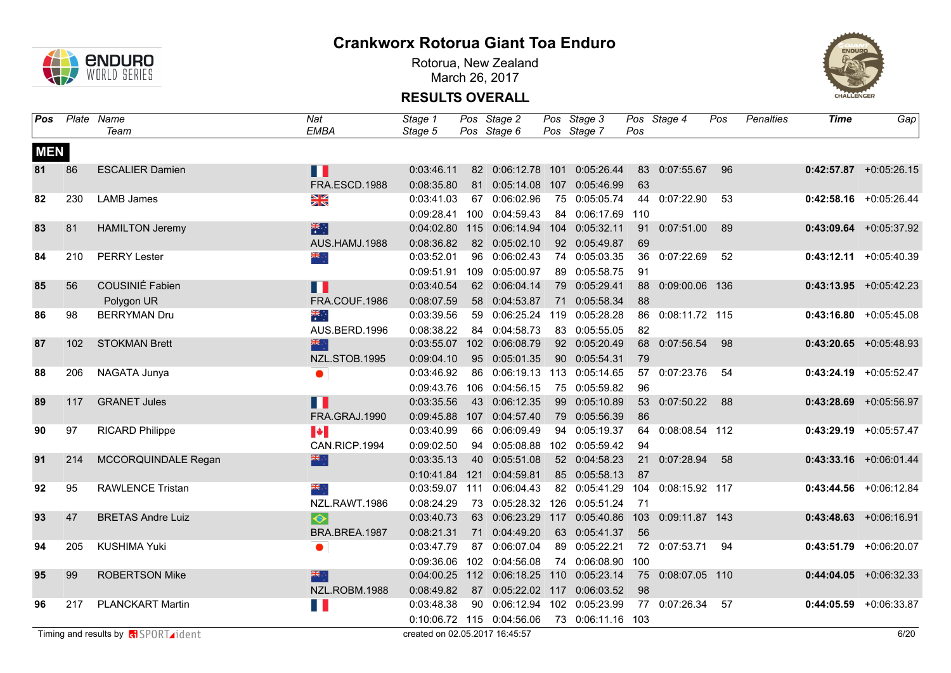

Rotorua, New Zealand March 26, 2017



| Pos        |     | Plate Name                                 | Nat                     | Stage 1                        |     | Pos Stage 2                     | Pos Stage 3       |     | Pos Stage 4        | Pos | <b>Penalties</b> | <b>Time</b> | Gap                       |
|------------|-----|--------------------------------------------|-------------------------|--------------------------------|-----|---------------------------------|-------------------|-----|--------------------|-----|------------------|-------------|---------------------------|
|            |     | Team                                       | EMBA                    | Stage 5                        |     | Pos Stage 6                     | Pos Stage 7       | Pos |                    |     |                  |             |                           |
| <b>MEN</b> |     |                                            |                         |                                |     |                                 |                   |     |                    |     |                  |             |                           |
| 81         | 86  | <b>ESCALIER Damien</b>                     | H                       | 0:03:46.11                     |     | 82 0:06:12.78 101 0:05:26.44    |                   |     | 83 0:07:55.67 96   |     |                  |             | $0:42:57.87$ +0:05:26.15  |
|            |     |                                            | FRA.ESCD.1988           | 0:08:35.80                     |     | 81 0:05:14.08                   | 107 0:05:46.99    | 63  |                    |     |                  |             |                           |
| 82         | 230 | <b>LAMB James</b>                          | $\frac{\Delta}{\Delta}$ | 0:03:41.03                     |     | 67 0:06:02.96                   | 75 0:05:05.74     |     | 44 0:07:22.90      | 53  |                  |             | $0:42:58.16$ +0:05:26.44  |
|            |     |                                            |                         | 0:09:28.41                     |     | 100 0:04:59.43                  | 84 0:06:17.69 110 |     |                    |     |                  |             |                           |
| 83         | 81  | <b>HAMILTON Jeremy</b>                     | 深明                      | 0:04:02.80                     |     | 115 0:06:14.94                  | 104 0:05:32.11    |     | 91 0:07:51.00      | 89  |                  |             | $0:43:09.64$ +0:05:37.92  |
|            |     |                                            | AUS.HAMJ.1988           | 0:08:36.82                     |     | 82 0:05:02.10                   | 92 0:05:49.87     | 69  |                    |     |                  |             |                           |
| 84         | 210 | <b>PERRY Lester</b>                        | ं, ब्रह                 | 0:03:52.01                     |     | 96 0:06:02.43                   | 74 0:05:03.35     |     | 36 0:07:22.69      | 52  |                  |             | $0:43:12.11 + 0:05:40.39$ |
|            |     |                                            |                         | 0:09:51.91                     | 109 | 0:05:00.97                      | 89 0:05:58.75     | 91  |                    |     |                  |             |                           |
| 85         | 56  | COUSINIÉ Fabien                            | H                       | 0:03:40.54                     |     | 62 0:06:04.14                   | 79 0:05:29.41     | 88  | 0:09:00.06 136     |     |                  |             | $0:43:13.95$ +0:05:42.23  |
|            |     | Polygon UR                                 | FRA.COUF.1986           | 0:08:07.59                     |     | 58 0:04:53.87                   | 71 0:05:58.34     | 88  |                    |     |                  |             |                           |
| 86         | 98  | <b>BERRYMAN Dru</b>                        | ्हें                    | 0:03:39.56                     |     | 59 0:06:25.24 119 0:05:28.28    |                   |     | 86 0:08:11.72 115  |     |                  |             | $0:43:16.80$ +0:05:45.08  |
|            |     |                                            | AUS.BERD.1996           | 0:08:38.22                     |     | 84 0:04:58.73                   | 83 0:05:55.05     | 82  |                    |     |                  |             |                           |
| 87         | 102 | <b>STOKMAN Brett</b>                       | 深心                      | 0:03:55.07                     |     | 102 0:06:08.79                  | 92 0:05:20.49     |     | 68 0:07:56.54      | 98  |                  |             | $0:43:20.65$ +0:05:48.93  |
|            |     |                                            | NZL.STOB.1995           | 0:09:04.10                     |     | 95 0:05:01.35                   | 90 0:05:54.31     | 79  |                    |     |                  |             |                           |
| 88         | 206 | NAGATA Junya                               | $\bullet$               | 0:03:46.92                     |     | 86 0:06:19.13                   | 113 0:05:14.65    |     | 57 0:07:23.76      | 54  |                  |             | $0:43:24.19$ +0:05:52.47  |
|            |     |                                            |                         | 0:09:43.76                     |     | 106 0:04:56.15                  | 75 0:05:59.82     | 96  |                    |     |                  |             |                           |
| 89         | 117 | <b>GRANET Jules</b>                        | n                       | 0:03:35.56                     |     | 43 0:06:12.35                   | 99 0:05:10.89     |     | 53 0:07:50.22      | 88  |                  |             | $0:43:28.69$ +0:05:56.97  |
|            |     |                                            | FRA.GRAJ.1990           | 0:09:45.88                     |     | 107 0:04:57.40                  | 79 0:05:56.39     | 86  |                    |     |                  |             |                           |
| 90         | 97  | <b>RICARD Philippe</b>                     | $\blacktriangleright$   | 0:03:40.99                     |     | 66 0:06:09.49                   | 94 0:05:19.37     |     | 64 0:08:08.54 112  |     |                  |             | $0:43:29.19$ +0:05:57.47  |
|            |     |                                            | CAN.RICP.1994           | 0:09:02.50                     |     | 94 0:05:08.88                   | 102 0:05:59.42    | 94  |                    |     |                  |             |                           |
| 91         | 214 | MCCORQUINDALE Regan                        | 米                       | 0:03:35.13                     |     | 40 0:05:51.08                   | 52 0:04:58.23     |     | 21 0:07:28.94      | 58  |                  |             | $0:43:33.16$ +0:06:01.44  |
|            |     |                                            |                         | 0:10:41.84 121                 |     | 0:04:59.81                      | 85 0:05:58.13     | 87  |                    |     |                  |             |                           |
| 92         | 95  | <b>RAWLENCE Tristan</b>                    | ÷, <mark>≫k</mark>      | 0:03:59.07 111                 |     | 0:06:04.43                      | 82 0:05:41.29     | 104 | 0:08:15.92 117     |     |                  |             | $0:43:44.56$ +0:06:12.84  |
|            |     |                                            | NZL.RAWT.1986           | 0:08:24.29                     |     | 73 0:05:28.32                   | 126 0:05:51.24    | 71  |                    |     |                  |             |                           |
| 93         | 47  | <b>BRETAS Andre Luiz</b>                   | $\overline{\bullet}$    | 0:03:40.73                     |     | 63 0:06:23.29                   | 117 0:05:40.86    |     | 103 0:09:11.87 143 |     |                  |             | $0:43:48.63$ +0:06:16.91  |
|            |     |                                            | BRA.BREA.1987           | 0:08:21.31                     | 71  | 0:04:49.20                      | 63 0:05:41.37     | 56  |                    |     |                  |             |                           |
| 94         | 205 | <b>KUSHIMA Yuki</b>                        | $\bullet$               | 0:03:47.79                     |     | 87 0:06:07.04                   | 89 0:05:22.21     |     | 72 0:07:53.71      | 94  |                  |             | $0:43:51.79$ +0:06:20.07  |
|            |     |                                            |                         | 0:09:36.06                     |     | 102 0:04:56.08                  | 74 0:06:08.90     | 100 |                    |     |                  |             |                           |
| 95         | 99  | <b>ROBERTSON Mike</b>                      | 器                       | 0:04:00.25                     |     | 112 0:06:18.25                  | 110 0:05:23.14    |     | 75 0:08:07.05 110  |     |                  |             | $0:44:04.05$ +0:06:32.33  |
|            |     |                                            | NZL.ROBM.1988           | 0:08:49.82                     |     | 87 0:05:22.02 117 0:06:03.52    |                   | 98  |                    |     |                  |             |                           |
| 96         | 217 | <b>PLANCKART Martin</b>                    | H.                      | 0:03:48.38                     |     | 90  0:06:12.94  102  0:05:23.99 |                   | 77  | 0:07:26.34         | 57  |                  | 0:44:05.59  | +0:06:33.87               |
|            |     |                                            |                         |                                |     | 0:10:06.72 115 0:04:56.06       | 73 0:06:11.16 103 |     |                    |     |                  |             |                           |
|            |     | Timing and results by <b>R</b> SPORT ident |                         | created on 02.05.2017 16:45:57 |     |                                 |                   |     |                    |     |                  |             | 6/20                      |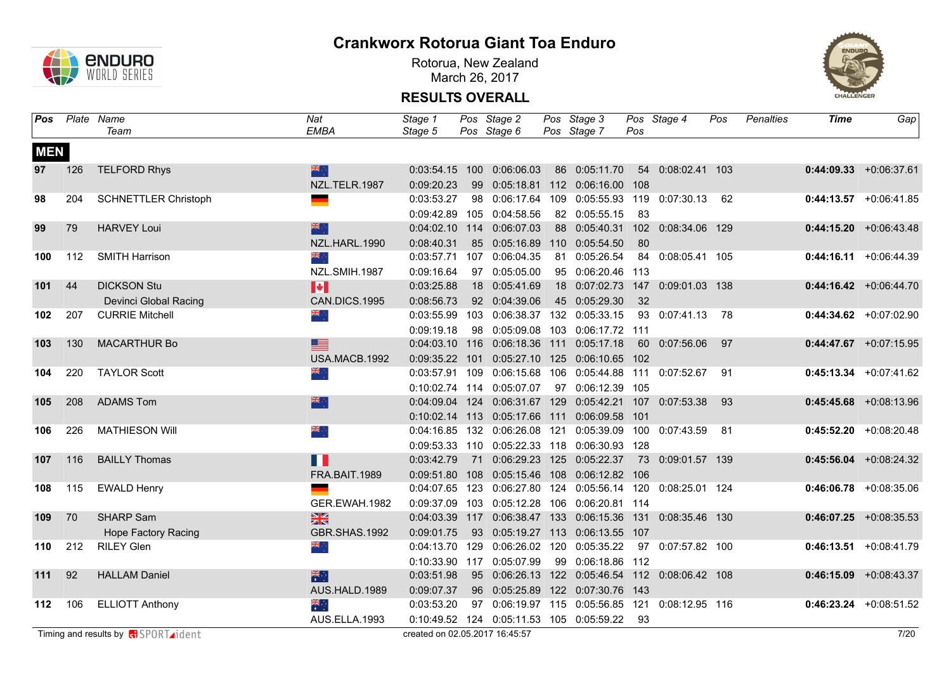

Rotorua, New Zealand March 26, 2017



| Pos        |     | Plate Name                                 | Nat             | Stage 1                        |    | Pos Stage 2                                                 | Pos Stage 3                          |      | Pos Stage 4         | Pos  | Penalties | Time | Gap                       |
|------------|-----|--------------------------------------------|-----------------|--------------------------------|----|-------------------------------------------------------------|--------------------------------------|------|---------------------|------|-----------|------|---------------------------|
|            |     | Team                                       | <b>EMBA</b>     | Stage 5                        |    | Pos Stage 6                                                 | Pos Stage 7                          | Pos  |                     |      |           |      |                           |
| <b>MEN</b> |     |                                            |                 |                                |    |                                                             |                                      |      |                     |      |           |      |                           |
| 97         | 126 | <b>TELFORD Rhys</b>                        | 米市              |                                |    | 0:03:54.15 100 0:06:06.03                                   | 86 0:05:11.70                        |      | 54 0:08:02.41 103   |      |           |      | $0:44:09.33 + 0:06:37.61$ |
|            |     |                                            | NZL.TELR.1987   | 0:09:20.23                     | 99 |                                                             | 0:05:18.81  112  0:06:16.00  108     |      |                     |      |           |      |                           |
| 98         | 204 | <b>SCHNETTLER Christoph</b>                |                 | 0:03:53.27                     |    | 98 0:06:17.64                                               | 109  0:05:55.93  119  0:07:30.13  62 |      |                     |      |           |      | $0:44:13.57$ +0:06:41.85  |
|            |     |                                            |                 |                                |    | 0:09:42.89 105 0:04:58.56                                   | 82 0:05:55.15                        | 83   |                     |      |           |      |                           |
| 99         | 79  | <b>HARVEY Loui</b>                         | 米亭              |                                |    | 0:04:02.10 114 0:06:07.03                                   | 88 0:05:40.31                        |      | 102 0:08:34.06 129  |      |           |      | $0:44:15.20 +0:06:43.48$  |
|            |     |                                            | NZL.HARL.1990   | 0:08:40.31                     |    | 85  0:05:16.89  110  0:05:54.50                             |                                      | -80  |                     |      |           |      |                           |
| 100        | 112 | <b>SMITH Harrison</b>                      | ्रेल्ल          | 0:03:57.71                     |    | 107 0:06:04.35                                              | 81 0:05:26.54                        |      | 84 0:08:05.41 105   |      |           |      | $0:44:16.11 + 0:06:44.39$ |
|            |     |                                            | NZL.SMIH.1987   | 0:09:16.64                     |    | 97 0:05:05.00                                               | 95 0:06:20.46 113                    |      |                     |      |           |      |                           |
| 101        | 44  | <b>DICKSON Stu</b>                         | H               | 0:03:25.88                     |    | 18 0:05:41.69                                               | 18 0:07:02.73                        |      | 147 0:09:01.03 138  |      |           |      | $0:44:16.42 + 0:06:44.70$ |
|            |     | Devinci Global Racing                      | CAN.DICS.1995   | 0:08:56.73                     |    | 92 0:04:39.06                                               | 45 0:05:29.30                        | 32   |                     |      |           |      |                           |
| 102        | 207 | <b>CURRIE Mitchell</b>                     | $\frac{1}{2}$   | 0:03:55.99                     |    | 103 0:06:38.37 132 0:05:33.15                               |                                      |      | 93 0:07:41.13 78    |      |           |      | $0:44:34.62$ +0:07:02.90  |
|            |     |                                            |                 | 0:09:19.18                     |    | 98  0:05:09.08  103  0:06:17.72  111                        |                                      |      |                     |      |           |      |                           |
| 103        | 130 | <b>MACARTHUR Bo</b>                        | 里               |                                |    | 0:04:03.10 116 0:06:18.36 111 0:05:17.18                    |                                      |      | 60 0:07:56.06       | 97   |           |      | $0:44:47.67$ +0:07:15.95  |
|            |     |                                            | USA.MACB.1992   |                                |    | 0:09:35.22 101 0:05:27.10 125 0:06:10.65 102                |                                      |      |                     |      |           |      |                           |
| 104        | 220 | <b>TAYLOR Scott</b>                        | ÷, ak           |                                |    | 0:03:57.91 109 0:06:15.68 106 0:05:44.88                    |                                      |      | 111  0:07:52.67  91 |      |           |      | $0:45:13.34 +0:07:41.62$  |
|            |     |                                            |                 |                                |    | 0:10:02.74 114 0:05:07.07                                   | 97  0:06:12.39  105                  |      |                     |      |           |      |                           |
| 105        | 208 | <b>ADAMS Tom</b>                           | 深心              | 0:04:09.04                     |    | 124  0:06:31.67  129  0:05:42.21  107  0:07:53.38           |                                      |      |                     | 93   |           |      | $0:45:45.68$ +0:08:13.96  |
|            |     |                                            |                 |                                |    | 0:10:02.14 113 0:05:17.66 111 0:06:09.58                    |                                      | 101  |                     |      |           |      |                           |
| 106        | 226 | <b>MATHIESON Will</b>                      | ्रेल            |                                |    | 0:04:16.85 132 0:06:26.08 121                               | 0:05:39.09                           |      | 100 0:07:43.59      | - 81 |           |      | $0:45:52.20 +0:08:20.48$  |
|            |     |                                            |                 |                                |    | 0:09:53.33  110  0:05:22.33  118  0:06:30.93  128           |                                      |      |                     |      |           |      |                           |
| 107        | 116 | <b>BAILLY Thomas</b>                       | Ш               | 0:03:42.79                     |    | 71 0:06:29.23 125 0:05:22.37                                |                                      |      | 73 0:09:01.57 139   |      |           |      | $0:45:56.04$ +0:08:24.32  |
|            |     |                                            | FRA.BAIT.1989   |                                |    | 0:09:51.80  108  0:05:15.46  108  0:06:12.82  106           |                                      |      |                     |      |           |      |                           |
| 108        | 115 | <b>EWALD Henry</b>                         |                 |                                |    | 0:04:07.65 123 0:06:27.80 124 0:05:56.14 120 0:08:25.01 124 |                                      |      |                     |      |           |      | $0:46:06.78$ +0:08:35.06  |
|            |     |                                            | GER.EWAH.1982   |                                |    | 0:09:37.09 103 0:05:12.28 106 0:06:20.81 114                |                                      |      |                     |      |           |      |                           |
| 109        | 70  | <b>SHARP Sam</b>                           | 黑               |                                |    | 0:04:03.39 117 0:06:38.47 133 0:06:15.36                    |                                      |      | 131 0:08:35.46 130  |      |           |      | $0:46:07.25$ +0:08:35.53  |
|            |     | <b>Hope Factory Racing</b>                 | GBR.SHAS.1992   | 0:09:01.75                     |    | 93 0:05:19.27 113 0:06:13.55                                |                                      | 107  |                     |      |           |      |                           |
| 110        | 212 | <b>RILEY Glen</b>                          |                 |                                |    | 0:04:13.70 129 0:06:26.02 120 0:05:35.22                    |                                      |      | 97 0:07:57.82 100   |      |           |      | $0:46:13.51 + 0:08:41.79$ |
|            |     |                                            |                 |                                |    | 0:10:33.90 117 0:05:07.99                                   | 99 0:06:18.86 112                    |      |                     |      |           |      |                           |
| 111        | 92  | <b>HALLAM Daniel</b>                       | 糕               | 0:03:51.98                     |    | 95  0:06:26.13  122  0:05:46.54  112  0:08:06.42  108       |                                      |      |                     |      |           |      | $0:46:15.09$ +0:08:43.37  |
|            |     |                                            | AUS.HALD.1989   | 0:09:07.37                     |    | 96  0:05:25.89  122  0:07:30.76  143                        |                                      |      |                     |      |           |      |                           |
| 112        | 106 | <b>ELLIOTT Anthony</b>                     | $\frac{2}{\pi}$ | 0:03:53.20                     |    | 97  0:06:19.97  115  0:05:56.85  121                        |                                      |      | 0:08:12.95 116      |      |           |      | $0:46:23.24$ +0:08:51.52  |
|            |     |                                            | AUS.ELLA.1993   |                                |    | 0:10:49.52 124 0:05:11.53 105 0:05:59.22                    |                                      | - 93 |                     |      |           |      |                           |
|            |     | Timing and results by <b>R</b> SPORT ident |                 | created on 02.05.2017 16:45:57 |    |                                                             |                                      |      |                     |      |           |      | 7/20                      |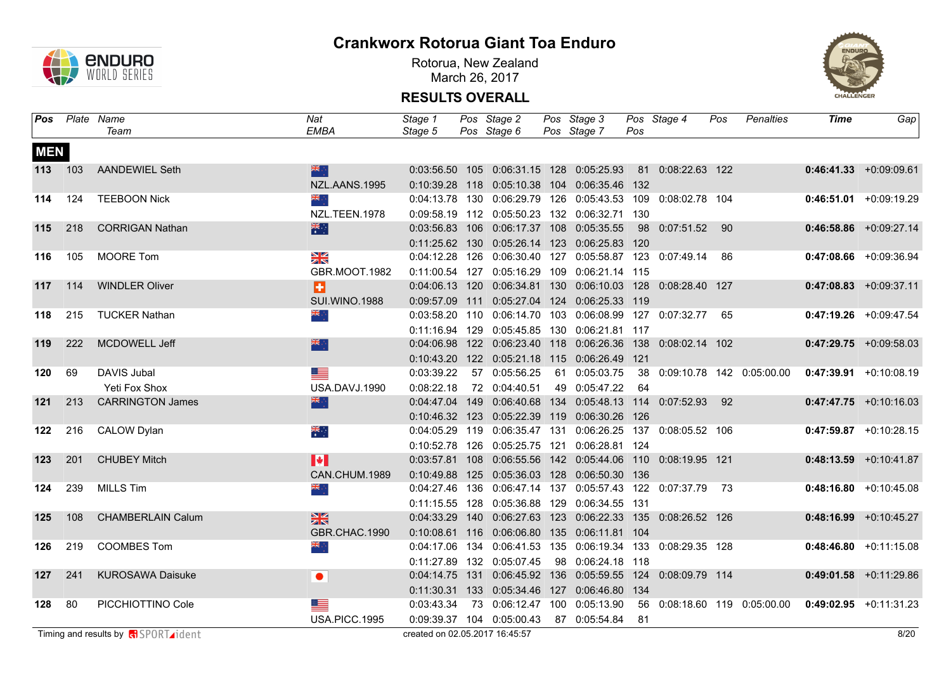

Rotorua, New Zealand March 26, 2017



|            |         | Pos Plate Name                             | <b>Nat</b>           | Stage 1                        | Pos Stage 2                                                        | Pos Stage 3       |     | Pos Stage 4       | Pos | Penalties                       | <b>Time</b>                                              | Gap                       |
|------------|---------|--------------------------------------------|----------------------|--------------------------------|--------------------------------------------------------------------|-------------------|-----|-------------------|-----|---------------------------------|----------------------------------------------------------|---------------------------|
|            |         | Team                                       | <b>EMBA</b>          | Stage 5                        | Pos Stage 6                                                        | Pos Stage 7       | Pos |                   |     |                                 |                                                          |                           |
| <b>MEN</b> |         |                                            |                      |                                |                                                                    |                   |     |                   |     |                                 |                                                          |                           |
|            | 113 103 | AANDEWIEL Seth                             | 米中                   |                                | 0:03:56.50 105 0:06:31.15 128 0:05:25.93                           |                   |     | 81 0:08:22.63 122 |     |                                 |                                                          | $0:46:41.33 + 0:09:09.61$ |
|            |         |                                            | NZL.AANS.1995        |                                | 0:10:39.28 118 0:05:10.38 104 0:06:35.46 132                       |                   |     |                   |     |                                 |                                                          |                           |
| 114        | 124     | <b>TEEBOON Nick</b>                        | ं श्रेह              |                                | 0:04:13.78  130  0:06:29.79  126  0:05:43.53  109  0:08:02.78  104 |                   |     |                   |     |                                 |                                                          | $0:46:51.01$ +0:09:19.29  |
|            |         |                                            | NZL.TEEN.1978        |                                | 0:09:58.19  112  0:05:50.23  132  0:06:32.71  130                  |                   |     |                   |     |                                 |                                                          |                           |
| 115        | 218     | <b>CORRIGAN Nathan</b>                     | 米里                   |                                | 0:03:56.83  106  0:06:17.37  108  0:05:35.55                       |                   |     | 98 0:07:51.52 90  |     |                                 |                                                          | $0:46:58.86$ +0:09:27.14  |
|            |         |                                            |                      |                                | 0:11:25.62 130 0:05:26.14 123 0:06:25.83 120                       |                   |     |                   |     |                                 |                                                          |                           |
| 116        | 105     | <b>MOORE Tom</b>                           | $\frac{N}{N}$        |                                | 0:04:12.28 126 0:06:30.40 127 0:05:58.87 123 0:07:49.14 86         |                   |     |                   |     |                                 |                                                          | $0:47:08.66$ +0:09:36.94  |
|            |         |                                            | GBR.MOOT.1982        |                                | 0:11:00.54 127 0:05:16.29 109 0:06:21.14 115                       |                   |     |                   |     |                                 |                                                          |                           |
| 117        | 114     | <b>WINDLER Oliver</b>                      | ø                    |                                | 0:04:06.13 120 0:06:34.81 130 0:06:10.03 128 0:08:28.40 127        |                   |     |                   |     |                                 |                                                          | $0:47:08.83$ +0:09:37.11  |
|            |         |                                            | <b>SUI.WINO.1988</b> |                                | 0:09:57.09  111  0:05:27.04  124  0:06:25.33  119                  |                   |     |                   |     |                                 |                                                          |                           |
| 118        | 215     | <b>TUCKER Nathan</b>                       | ्रें≋                |                                | 0:03:58.20 110 0:06:14.70 103 0:06:08.99 127 0:07:32.77 65         |                   |     |                   |     |                                 |                                                          | $0:47:19.26$ +0:09:47.54  |
|            |         |                                            |                      |                                | 0:11:16.94 129 0:05:45.85 130 0:06:21.81 117                       |                   |     |                   |     |                                 |                                                          |                           |
| 119        | 222     | MCDOWELL Jeff                              | 器点                   |                                | 0:04:06.98  122  0:06:23.40  118  0:06:26.36  138  0:08:02.14  102 |                   |     |                   |     |                                 |                                                          | $0:47:29.75$ +0:09:58.03  |
|            |         |                                            |                      |                                | 0:10:43.20 122 0:05:21.18 115 0:06:26.49 121                       |                   |     |                   |     |                                 |                                                          |                           |
| 120        | 69      | DAVIS Jubal                                |                      | 0:03:39.22                     | 57 0:05:56.25                                                      | 61 0:05:03.75     |     |                   |     | 38  0:09:10.78  142  0:05:00.00 |                                                          | $0:47:39.91 +0:10:08.19$  |
|            |         | Yeti Fox Shox                              | USA.DAVJ.1990        | 0:08:22.18                     | 72 0:04:40.51                                                      | 49 0:05:47.22     | 64  |                   |     |                                 |                                                          |                           |
| 121        | 213     | <b>CARRINGTON James</b>                    | 米辛                   |                                | 0:04:47.04 149 0:06:40.68 134 0:05:48.13 114 0:07:52.93 92         |                   |     |                   |     |                                 |                                                          | $0:47:47.75 +0:10:16.03$  |
|            |         |                                            |                      |                                | 0:10:46.32 123 0:05:22.39 119 0:06:30.26 126                       |                   |     |                   |     |                                 |                                                          |                           |
| 122        | 216     | <b>CALOW Dylan</b>                         | ्हें                 |                                | 0:04:05.29 119 0:06:35.47 131 0:06:26.25 137 0:08:05.52 106        |                   |     |                   |     |                                 |                                                          | $0:47:59.87$ +0:10:28.15  |
|            |         |                                            |                      |                                | 0:10:52.78 126 0:05:25.75 121 0:06:28.81 124                       |                   |     |                   |     |                                 |                                                          |                           |
| 123        | 201     | <b>CHUBEY Mitch</b>                        | H                    |                                | 0:03:57.81  108  0:06:55.56  142  0:05:44.06  110  0:08:19.95  121 |                   |     |                   |     |                                 |                                                          | $0:48:13.59$ +0:10:41.87  |
|            |         |                                            | CAN.CHUM.1989        |                                | 0:10:49.88 125 0:05:36.03 128 0:06:50.30 136                       |                   |     |                   |     |                                 |                                                          |                           |
| 124        | 239     | <b>MILLS Tim</b>                           | $\frac{1}{2}$        |                                | 0:04:27.46 136 0:06:47.14 137 0:05:57.43 122 0:07:37.79 73         |                   |     |                   |     |                                 |                                                          | $0:48:16.80 + 0:10:45.08$ |
|            |         |                                            |                      |                                | 0:11:15.55  128  0:05:36.88  129  0:06:34.55  131                  |                   |     |                   |     |                                 |                                                          |                           |
| 125        | 108     | <b>CHAMBERLAIN Calum</b>                   | $\frac{N}{N}$        |                                | 0:04:33.29  140  0:06:27.63  123  0:06:22.33  135  0:08:26.52  126 |                   |     |                   |     |                                 |                                                          | $0:48:16.99$ +0:10:45.27  |
|            |         |                                            | GBR.CHAC.1990        |                                | 0:10:08.61  116  0:06:06.80  135  0:06:11.81  104                  |                   |     |                   |     |                                 |                                                          |                           |
| 126        | 219     | <b>COOMBES Tom</b>                         | $\frac{1}{2}$        |                                | 0:04:17.06  134  0:06:41.53  135  0:06:19.34  133  0:08:29.35  128 |                   |     |                   |     |                                 |                                                          | $0:48:46.80 + 0:11:15.08$ |
|            |         |                                            |                      |                                | 0:11:27.89 132 0:05:07.45                                          | 98 0:06:24.18 118 |     |                   |     |                                 |                                                          |                           |
| 127        | 241     | <b>KUROSAWA Daisuke</b>                    | $\bullet$            |                                | 0:04:14.75  131  0:06:45.92  136  0:05:59.55  124  0:08:09.79  114 |                   |     |                   |     |                                 |                                                          | $0:49:01.58$ +0:11:29.86  |
|            |         |                                            |                      |                                | 0:11:30.31  133  0:05:34.46  127  0:06:46.80  134                  |                   |     |                   |     |                                 |                                                          |                           |
| 128        | 80      | PICCHIOTTINO Cole                          | <u> and</u>          | 0:03:43.34                     | 73  0:06:12.47  100  0:05:13.90                                    |                   |     |                   |     |                                 | 56  0:08:18.60  119  0:05:00.00  0:49:02.95  +0:11:31.23 |                           |
|            |         |                                            | <b>USA.PICC.1995</b> |                                | 0:09:39.37 104 0:05:00.43                                          | 87 0:05:54.84     | -81 |                   |     |                                 |                                                          |                           |
|            |         | Timing and results by <b>R</b> SPORT ident |                      | created on 02.05.2017 16:45:57 |                                                                    |                   |     |                   |     |                                 |                                                          | 8/20                      |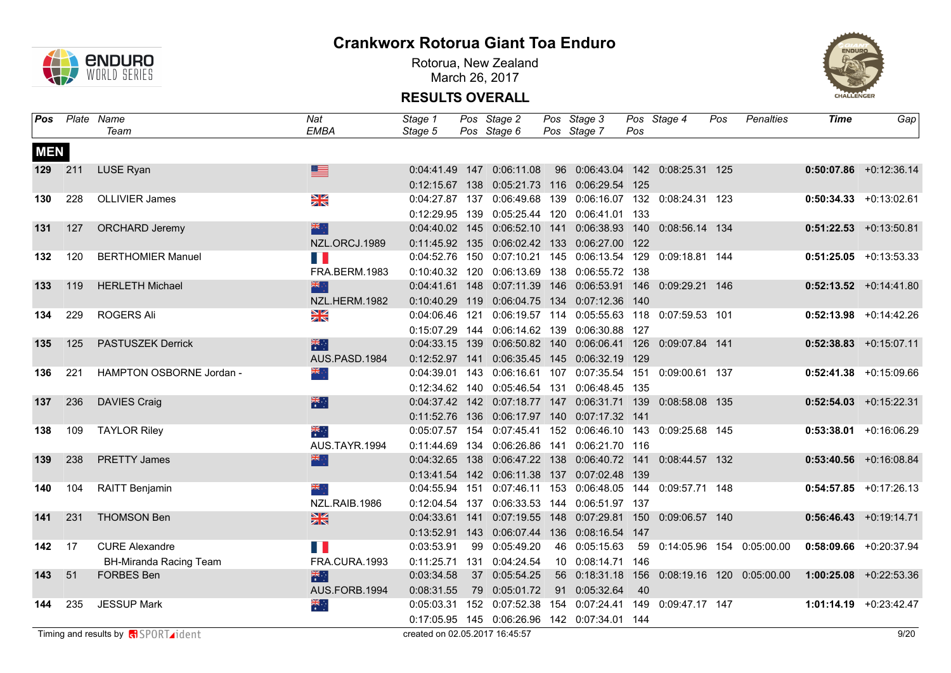

Rotorua, New Zealand March 26, 2017



| Pos        |     | Plate Name               | Nat                         | Stage 1        |    | Pos Stage 2                                                        | Pos Stage 3                                       |     | Pos Stage 4    | Pos | Penalties                       | <b>Time</b> | Gap                       |
|------------|-----|--------------------------|-----------------------------|----------------|----|--------------------------------------------------------------------|---------------------------------------------------|-----|----------------|-----|---------------------------------|-------------|---------------------------|
|            |     | Team                     | <b>EMBA</b>                 | Stage 5        |    | Pos Stage 6                                                        | Pos Stage 7                                       | Pos |                |     |                                 |             |                           |
| <b>MEN</b> |     |                          |                             |                |    |                                                                    |                                                   |     |                |     |                                 |             |                           |
| 129        | 211 | <b>LUSE Ryan</b>         | ≣                           |                |    | 0:04:41.49 147 0:06:11.08                                          | 96  0:06:43.04  142  0:08:25.31  125              |     |                |     |                                 |             | $0:50:07.86$ +0:12:36.14  |
|            |     |                          |                             | 0:12:15.67 138 |    |                                                                    | 0:05:21.73 116 0:06:29.54 125                     |     |                |     |                                 |             |                           |
| 130        | 228 | <b>OLLIVIER James</b>    | X                           | 0:04:27.87 137 |    |                                                                    | 0:06:49.68  139  0:06:16.07  132  0:08:24.31  123 |     |                |     |                                 |             | $0:50:34.33 + 0:13:02.61$ |
|            |     |                          |                             |                |    | 0:12:29.95 139 0:05:25.44 120 0:06:41.01 133                       |                                                   |     |                |     |                                 |             |                           |
| 131        | 127 | <b>ORCHARD Jeremy</b>    | 器点                          | 0:04:40.02 145 |    |                                                                    | 0:06:52.10 141 0:06:38.93 140                     |     | 0:08:56.14 134 |     |                                 |             | $0:51:22.53$ +0:13:50.81  |
|            |     |                          | NZL.ORCJ.1989               |                |    | 0:11:45.92  135  0:06:02.42  133  0:06:27.00  122                  |                                                   |     |                |     |                                 |             |                           |
| 132        | 120 | <b>BERTHOMIER Manuel</b> | Ш                           |                |    | 0:04:52.76 150 0:07:10.21 145 0:06:13.54 129                       |                                                   |     | 0:09:18.81 144 |     |                                 |             | $0:51:25.05$ +0:13:53.33  |
|            |     |                          | FRA.BERM.1983               |                |    | 0:10:40.32 120 0:06:13.69 138 0:06:55.72 138                       |                                                   |     |                |     |                                 |             |                           |
| 133        | 119 | <b>HERLETH Michael</b>   | 米                           | 0:04:41.61 148 |    |                                                                    | 0:07:11.39  146  0:06:53.91  146                  |     | 0:09:29.21 146 |     |                                 |             | $0:52:13.52$ +0:14:41.80  |
|            |     |                          | NZL.HERM.1982               |                |    | 0:10:40.29 119 0:06:04.75 134 0:07:12.36 140                       |                                                   |     |                |     |                                 |             |                           |
| 134        | 229 | <b>ROGERS Ali</b>        | $\frac{N}{N}$               |                |    | 0:04:06.46 121 0:06:19.57 114 0:05:55.63 118                       |                                                   |     | 0:07:59.53 101 |     |                                 |             | $0:52:13.98$ +0:14:42.26  |
|            |     |                          |                             |                |    | 0:15:07.29  144  0:06:14.62  139  0:06:30.88  127                  |                                                   |     |                |     |                                 |             |                           |
| 135        | 125 | <b>PASTUSZEK Derrick</b> | 米                           |                |    | 0:04:33.15  139  0:06:50.82  140  0:06:06.41  126  0:09:07.84  141 |                                                   |     |                |     |                                 |             | $0:52:38.83$ +0:15:07.11  |
|            |     |                          | AUS.PASD.1984               |                |    | 0:12:52.97  141  0:06:35.45  145  0:06:32.19  129                  |                                                   |     |                |     |                                 |             |                           |
| 136        | 221 | HAMPTON OSBORNE Jordan - | ्रें≋                       |                |    | 0:04:39.01  143  0:06:16.61  107  0:07:35.54  151  0:09:00.61  137 |                                                   |     |                |     |                                 |             | $0:52:41.38$ +0:15:09.66  |
|            |     |                          |                             |                |    | 0:12:34.62  140  0:05:46.54  131  0:06:48.45  135                  |                                                   |     |                |     |                                 |             |                           |
| 137        | 236 | <b>DAVIES Craig</b>      | 米里                          |                |    | 0:04:37.42  142  0:07:18.77  147  0:06:31.71  139  0:08:58.08  135 |                                                   |     |                |     |                                 |             | $0:52:54.03$ +0:15:22.31  |
|            |     |                          |                             |                |    | 0:11:52.76  136  0:06:17.97  140  0:07:17.32  141                  |                                                   |     |                |     |                                 |             |                           |
| 138        | 109 | <b>TAYLOR Riley</b>      | ▓                           |                |    | 0:05:07.57  154  0:07:45.41  152  0:06:46.10  143  0:09:25.68  145 |                                                   |     |                |     |                                 |             | $0:53:38.01$ +0:16:06.29  |
|            |     |                          | AUS.TAYR.1994               |                |    | 0:11:44.69  134  0:06:26.86  141  0:06:21.70  116                  |                                                   |     |                |     |                                 |             |                           |
| 139        | 238 | <b>PRETTY James</b>      | 米辛                          | 0:04:32.65 138 |    |                                                                    | 0:06:47.22 138 0:06:40.72 141 0:08:44.57 132      |     |                |     |                                 |             | $0:53:40.56$ +0:16:08.84  |
|            |     |                          |                             |                |    | 0:13:41.54  142  0:06:11.38  137  0:07:02.48  139                  |                                                   |     |                |     |                                 |             |                           |
| 140        | 104 | RAITT Benjamin           | ÷, ak                       |                |    | 0:04:55.94 151 0:07:46.11 153 0:06:48.05 144 0:09:57.71 148        |                                                   |     |                |     |                                 |             | $0:54:57.85$ +0:17:26.13  |
|            |     |                          | NZL.RAIB.1986               |                |    | 0:12:04.54 137 0:06:33.53 144 0:06:51.97 137                       |                                                   |     |                |     |                                 |             |                           |
| 141        | 231 | <b>THOMSON Ben</b>       | 黑                           |                |    | 0:04:33.61  141  0:07:19.55  148  0:07:29.81  150                  |                                                   |     | 0:09:06.57 140 |     |                                 |             | $0:56:46.43 +0:19:14.71$  |
|            |     |                          |                             |                |    | 0:13:52.91  143  0:06:07.44  136  0:08:16.54  147                  |                                                   |     |                |     |                                 |             |                           |
| 142        | -17 | <b>CURE Alexandre</b>    | $\mathcal{A}^{\mathcal{A}}$ | 0:03:53.91     | 99 | 0:05:49.20                                                         | 46 0:05:15.63                                     |     |                |     | 59  0:14:05.96  154  0:05:00.00 |             | $0:58:09.66$ +0:20:37.94  |
|            |     | BH-Miranda Racing Team   | FRA.CURA.1993               |                |    | 0:11:25.71  131  0:04:24.54                                        | 10 0:08:14.71 146                                 |     |                |     |                                 |             |                           |
| 143        | 51  | <b>FORBES Ben</b>        | 糕                           | 0:03:34.58     |    | 37 0:05:54.25                                                      | 56 0:18:31.18 156                                 |     |                |     | 0:08:19.16 120 0:05:00.00       |             | $1:00:25.08$ +0:22:53.36  |
|            |     |                          | AUS.FORB.1994               | 0:08:31.55     | 79 | 0:05:01.72                                                         | 91 0:05:32.64                                     | 40  |                |     |                                 |             |                           |
| 144        | 235 | <b>JESSUP Mark</b>       | $\frac{2}{\pi}$             |                |    | 0:05:03.31 152 0:07:52.38                                          | 154  0:07:24.41  149                              |     | 0:09:47.17 147 |     |                                 |             | 1:01:14.19 +0:23:42.47    |
|            |     |                          |                             |                |    | 0:17:05.95  145  0:06:26.96  142  0:07:34.01  144                  |                                                   |     |                |     |                                 |             |                           |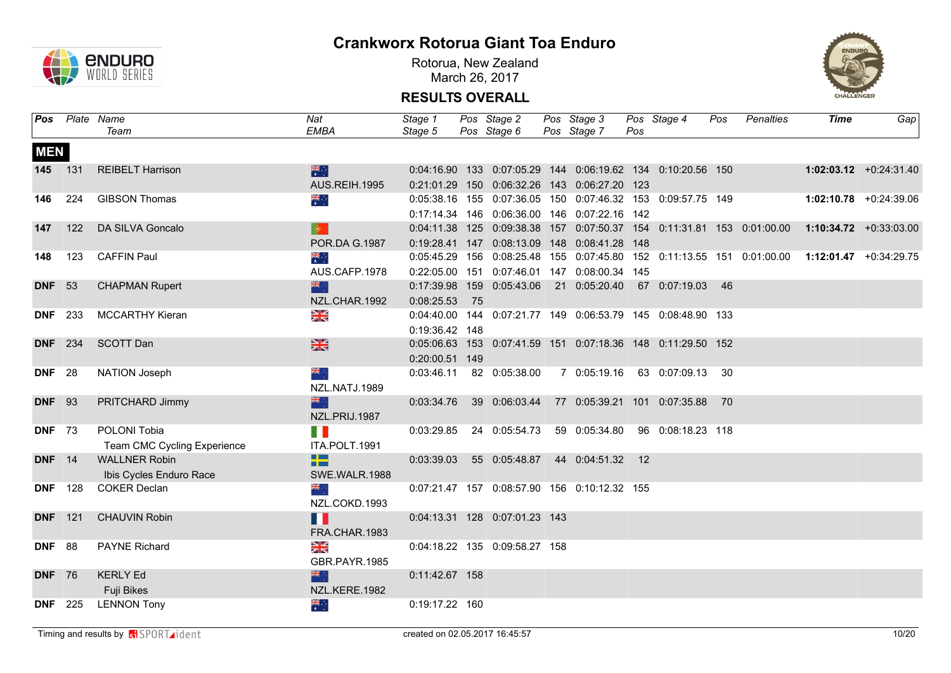

Rotorua, New Zealand March 26, 2017



| Pos            |                | Plate Name                  | Nat                  | Stage 1        |    | Pos Stage 2                                                        | Pos Stage 3      |     | Pos Stage 4                        | Pos | Penalties | <b>Time</b>                                                                                   | Gap                      |
|----------------|----------------|-----------------------------|----------------------|----------------|----|--------------------------------------------------------------------|------------------|-----|------------------------------------|-----|-----------|-----------------------------------------------------------------------------------------------|--------------------------|
|                |                | Team                        | EMBA                 | Stage 5        |    | Pos Stage 6 Pos Stage 7                                            |                  | Pos |                                    |     |           |                                                                                               |                          |
| <b>MEN</b>     |                |                             |                      |                |    |                                                                    |                  |     |                                    |     |           |                                                                                               |                          |
|                | 145 131        | <b>REIBELT Harrison</b>     | 米里                   |                |    | 0:04:16.90  133  0:07:05.29  144  0:06:19.62  134  0:10:20.56  150 |                  |     |                                    |     |           |                                                                                               | $1:02:03.12$ +0:24:31.40 |
|                |                |                             | AUS.REIH.1995        |                |    | 0:21:01.29 150 0:06:32.26 143 0:06:27.20 123                       |                  |     |                                    |     |           |                                                                                               |                          |
| 146            | 224            | <b>GIBSON Thomas</b>        | $\frac{1}{\sqrt{2}}$ |                |    | 0:05:38.16  155  0:07:36.05  150  0:07:46.32  153  0:09:57.75  149 |                  |     |                                    |     |           |                                                                                               | $1:02:10.78$ +0:24:39.06 |
|                |                |                             |                      |                |    | 0:17:14.34  146  0:06:36.00  146  0:07:22.16  142                  |                  |     |                                    |     |           |                                                                                               |                          |
| 147            | 122            | DA SILVA Goncalo            | $\bullet$            |                |    |                                                                    |                  |     |                                    |     |           | 0:04:11.38 125 0:09:38.38 157 0:07:50.37 154 0:11:31.81 153 0:01:00.00 1:10:34.72 +0:33:03.00 |                          |
|                |                |                             | POR.DA G.1987        |                |    | 0:19:28.41  147  0:08:13.09  148  0:08:41.28  148                  |                  |     |                                    |     |           |                                                                                               |                          |
| 148            | 123            | <b>CAFFIN Paul</b>          | $\frac{1}{\sqrt{2}}$ |                |    |                                                                    |                  |     |                                    |     |           | 0:05:45.29 156 0:08:25.48 155 0:07:45.80 152 0:11:13.55 151 0:01:00.00 1:12:01.47 +0:34:29.75 |                          |
|                |                |                             | AUS.CAFP.1978        |                |    | 0:22:05.00  151  0:07:46.01  147  0:08:00.34  145                  |                  |     |                                    |     |           |                                                                                               |                          |
| <b>DNF</b> 53  |                | <b>CHAPMAN Rupert</b>       |                      |                |    | 0:17:39.98 159 0:05:43.06                                          |                  |     | 21  0:05:20.40  67  0:07:19.03  46 |     |           |                                                                                               |                          |
|                |                |                             | NZL.CHAR.1992        | 0:08:25.53     | 75 |                                                                    |                  |     |                                    |     |           |                                                                                               |                          |
|                | <b>DNF</b> 233 | <b>MCCARTHY Kieran</b>      | $\frac{N}{N}$        |                |    | 0:04:40.00 144 0:07:21.77 149 0:06:53.79 145 0:08:48.90 133        |                  |     |                                    |     |           |                                                                                               |                          |
|                |                |                             |                      | 0:19:36.42 148 |    |                                                                    |                  |     |                                    |     |           |                                                                                               |                          |
| <b>DNF</b> 234 |                | <b>SCOTT Dan</b>            | $\frac{N}{N}$        |                |    | 0:05:06.63  153  0:07:41.59  151  0:07:18.36  148  0:11:29.50  152 |                  |     |                                    |     |           |                                                                                               |                          |
|                |                |                             |                      | 0:20:00.51 149 |    |                                                                    |                  |     |                                    |     |           |                                                                                               |                          |
| <b>DNF</b> 28  |                | NATION Joseph               | ÷, <mark>≫</mark>    |                |    | 0:03:46.11  82  0:05:38.00  7  0:05:19.16                          |                  |     | 63 0:07:09.13 30                   |     |           |                                                                                               |                          |
|                |                |                             | NZL.NATJ.1989        |                |    |                                                                    |                  |     |                                    |     |           |                                                                                               |                          |
| <b>DNF</b> 93  |                | PRITCHARD Jimmy             |                      |                |    | 0:03:34.76 39 0:06:03.44                                           |                  |     | 77 0:05:39.21 101 0:07:35.88       | 70  |           |                                                                                               |                          |
|                |                |                             | NZL.PRIJ.1987        |                |    |                                                                    |                  |     |                                    |     |           |                                                                                               |                          |
| <b>DNF</b> 73  |                | POLONI Tobia                | T N                  | 0:03:29.85     |    | 24 0:05:54.73 59 0:05:34.80                                        |                  |     | 96 0:08:18.23 118                  |     |           |                                                                                               |                          |
|                |                | Team CMC Cycling Experience | ITA.POLT.1991        |                |    |                                                                    |                  |     |                                    |     |           |                                                                                               |                          |
| <b>DNF</b> 14  |                | <b>WALLNER Robin</b>        | <u>sta k</u>         | 0:03:39.03     |    | 55 0:05:48.87                                                      | 44 0:04:51.32 12 |     |                                    |     |           |                                                                                               |                          |
|                |                | Ibis Cycles Enduro Race     | --<br>SWE.WALR.1988  |                |    |                                                                    |                  |     |                                    |     |           |                                                                                               |                          |
|                | <b>DNF</b> 128 | <b>COKER Declan</b>         | ≫⊯्                  |                |    | 0:07:21.47 157 0:08:57.90 156 0:10:12.32 155                       |                  |     |                                    |     |           |                                                                                               |                          |
|                |                |                             | NZL.COKD.1993        |                |    |                                                                    |                  |     |                                    |     |           |                                                                                               |                          |
|                | <b>DNF</b> 121 | <b>CHAUVIN Robin</b>        | H                    |                |    | 0:04:13.31  128  0:07:01.23  143                                   |                  |     |                                    |     |           |                                                                                               |                          |
|                |                |                             |                      |                |    |                                                                    |                  |     |                                    |     |           |                                                                                               |                          |
| <b>DNF</b> 88  |                | <b>PAYNE Richard</b>        | FRA.CHAR.1983        |                |    |                                                                    |                  |     |                                    |     |           |                                                                                               |                          |
|                |                |                             | $\frac{N}{N}$        |                |    | 0:04:18.22 135 0:09:58.27 158                                      |                  |     |                                    |     |           |                                                                                               |                          |
|                |                |                             | GBR.PAYR.1985        |                |    |                                                                    |                  |     |                                    |     |           |                                                                                               |                          |
| <b>DNF</b> 76  |                | <b>KERLY Ed</b>             |                      | 0:11:42.67 158 |    |                                                                    |                  |     |                                    |     |           |                                                                                               |                          |
|                |                | Fuji Bikes                  | NZL.KERE.1982        |                |    |                                                                    |                  |     |                                    |     |           |                                                                                               |                          |
|                | <b>DNF</b> 225 | <b>LENNON Tony</b>          | $\frac{1}{\sqrt{2}}$ | 0:19:17.22 160 |    |                                                                    |                  |     |                                    |     |           |                                                                                               |                          |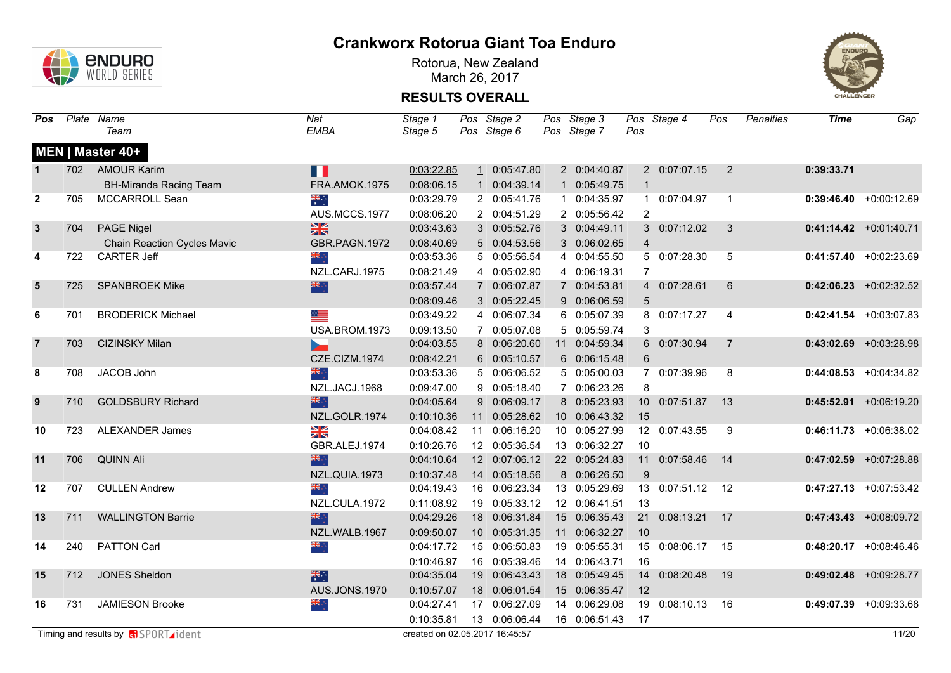

Rotorua, New Zealand March 26, 2017



| Pos              |     | Plate Name                                   | <b>Nat</b>           | Stage 1                        |    | Pos Stage 2   | Pos Stage 3   |                | Pos Stage 4   | Pos            | <b>Penalties</b> | <b>Time</b> | Gap                       |
|------------------|-----|----------------------------------------------|----------------------|--------------------------------|----|---------------|---------------|----------------|---------------|----------------|------------------|-------------|---------------------------|
|                  |     | Team                                         | <b>EMBA</b>          | Stage 5                        |    | Pos Stage 6   | Pos Stage 7   | Pos            |               |                |                  |             |                           |
|                  |     | MEN   Master 40+                             |                      |                                |    |               |               |                |               |                |                  |             |                           |
| $\mathbf{1}$     | 702 | <b>AMOUR Karim</b>                           | Ш                    | 0:03:22.85                     |    | 10:05:47.80   | 2 0:04:40.87  |                | 2 0:07:07.15  | $\overline{2}$ |                  | 0:39:33.71  |                           |
|                  |     | <b>BH-Miranda Racing Team</b>                | FRA.AMOK.1975        | 0:08:06.15                     |    | 1 0:04:39.14  | 1 0:05:49.75  | $\mathbf{1}$   |               |                |                  |             |                           |
| $\mathbf{2}$     | 705 | MCCARROLL Sean                               | ैं                   | 0:03:29.79                     |    | 2 0:05:41.76  | 1 0:04:35.97  |                | 1 0:07:04.97  | $\mathbf{1}$   |                  |             | $0:39:46.40 + 0:00:12.69$ |
|                  |     |                                              | AUS.MCCS.1977        | 0:08:06.20                     |    | 2 0:04:51.29  | 2 0:05:56.42  | $\overline{2}$ |               |                |                  |             |                           |
| $\mathbf{3}$     | 704 | <b>PAGE Nigel</b>                            | $\frac{N}{N}$        | 0:03:43.63                     |    | 3 0:05:52.76  | 3 0:04:49.11  |                | 3 0:07:12.02  | $\mathbf{3}$   |                  |             | $0:41:14.42$ +0:01:40.71  |
|                  |     | <b>Chain Reaction Cycles Mavic</b>           | GBR.PAGN.1972        | 0:08:40.69                     |    | 5 0:04:53.56  | 3 0:06:02.65  | $\overline{4}$ |               |                |                  |             |                           |
| 4                | 722 | <b>CARTER Jeff</b>                           | ैं हैं।              | 0:03:53.36                     |    | 5 0:05:56.54  | 4 0:04:55.50  |                | 5 0:07:28.30  | 5              |                  |             | $0:41:57.40 +0:02:23.69$  |
|                  |     |                                              | NZL.CARJ.1975        | 0:08:21.49                     |    | 4 0:05:02.90  | 4 0:06:19.31  | $\overline{7}$ |               |                |                  |             |                           |
| $5\phantom{1}$   | 725 | <b>SPANBROEK Mike</b>                        | 深深                   | 0:03:57.44                     |    | 7 0:06:07.87  | 7 0:04:53.81  |                | 4 0:07:28.61  | $6^{\circ}$    |                  |             | $0:42:06.23$ +0:02:32.52  |
|                  |     |                                              |                      | 0:08:09.46                     |    | 3 0:05:22.45  | 9 0:06:06.59  | 5              |               |                |                  |             |                           |
| 6                | 701 | <b>BRODERICK Michael</b>                     | <u> III program</u>  | 0:03:49.22                     |    | 4 0:06:07.34  | 6 0:05:07.39  |                | 8 0:07:17.27  | $\overline{4}$ |                  |             | $0:42:41.54$ +0:03:07.83  |
|                  |     |                                              | USA.BROM.1973        | 0:09:13.50                     |    | 7 0:05:07.08  | 5 0:05:59.74  | 3              |               |                |                  |             |                           |
| $\overline{7}$   | 703 | <b>CIZINSKY Milan</b>                        |                      | 0:04:03.55                     |    | 8 0:06:20.60  | 11 0:04:59.34 |                | 6 0:07:30.94  | $\overline{7}$ |                  |             | $0:43:02.69$ +0:03:28.98  |
|                  |     |                                              | CZE.CIZM.1974        | 0:08:42.21                     |    | 6 0:05:10.57  | 6 0:06:15.48  | 6              |               |                |                  |             |                           |
| 8                | 708 | JACOB John                                   | 张                    | 0:03:53.36                     |    | 5 0:06:06.52  | 5 0:05:00.03  |                | 7 0:07:39.96  | 8              |                  |             | $0:44:08.53$ +0:04:34.82  |
|                  |     |                                              | NZL.JACJ.1968        | 0:09:47.00                     |    | 9 0:05:18.40  | 7 0:06:23.26  | 8              |               |                |                  |             |                           |
| $\boldsymbol{9}$ | 710 | <b>GOLDSBURY Richard</b>                     | 米市                   | 0:04:05.64                     |    | 9 0:06:09.17  | 8 0:05:23.93  |                | 10 0:07:51.87 | 13             |                  |             | $0:45:52.91 + 0:06:19.20$ |
|                  |     |                                              | NZL.GOLR.1974        | 0:10:10.36                     |    | 11 0:05:28.62 | 10 0:06:43.32 | 15             |               |                |                  |             |                           |
| 10               | 723 | <b>ALEXANDER James</b>                       | XK                   | 0:04:08.42                     |    | 11 0:06:16.20 | 10 0:05:27.99 |                | 12 0:07:43.55 | 9              |                  |             | $0:46:11.73$ +0:06:38.02  |
|                  |     |                                              | GBR.ALEJ.1974        | 0:10:26.76                     |    | 12 0:05:36.54 | 13 0:06:32.27 | 10             |               |                |                  |             |                           |
| 11               | 706 | <b>QUINN Ali</b>                             | 米亭                   | 0:04:10.64                     |    | 12 0:07:06.12 | 22 0:05:24.83 |                | 11 0:07:58.46 | 14             |                  |             | $0:47:02.59$ +0:07:28.88  |
|                  |     |                                              | NZL.QUIA.1973        | 0:10:37.48                     |    | 14 0:05:18.56 | 8 0:06:26.50  | 9              |               |                |                  |             |                           |
| 12               | 707 | <b>CULLEN Andrew</b>                         | ्रेल                 | 0:04:19.43                     |    | 16 0:06:23.34 | 13 0:05:29.69 |                | 13 0:07:51.12 | 12             |                  |             | $0:47:27.13$ +0:07:53.42  |
|                  |     |                                              | NZL.CULA.1972        | 0:11:08.92                     | 19 | 0:05:33.12    | 12 0:06:41.51 | 13             |               |                |                  |             |                           |
| 13               | 711 | <b>WALLINGTON Barrie</b>                     | 米心                   | 0:04:29.26                     |    | 18 0:06:31.84 | 15 0:06:35.43 |                | 21 0:08:13.21 | 17             |                  |             | $0:47:43.43$ +0:08:09.72  |
|                  |     |                                              | NZL.WALB.1967        | 0:09:50.07                     |    | 10 0:05:31.35 | 11 0:06:32.27 | 10             |               |                |                  |             |                           |
| 14               | 240 | <b>PATTON Carl</b>                           | ैं                   | 0:04:17.72                     |    | 15 0:06:50.83 | 19 0:05:55.31 |                | 15 0:08:06.17 | 15             |                  |             | $0:48:20.17$ +0:08:46.46  |
|                  |     |                                              |                      | 0:10:46.97                     |    | 16 0:05:39.46 | 14 0:06:43.71 | 16             |               |                |                  |             |                           |
| 15               | 712 | <b>JONES Sheldon</b>                         | 米村                   | 0:04:35.04                     |    | 19 0:06:43.43 | 18 0:05:49.45 |                | 14 0:08:20.48 | 19             |                  |             | $0:49:02.48$ +0:09:28.77  |
|                  |     |                                              | <b>AUS.JONS.1970</b> | 0:10:57.07                     |    | 18 0:06:01.54 | 15 0:06:35.47 | 12             |               |                |                  |             |                           |
| 16               | 731 | <b>JAMIESON Brooke</b>                       | $\frac{1}{2}$        | 0:04:27.41                     |    | 17 0:06:27.09 | 14 0:06:29.08 | 19             | 0:08:10.13    | 16             |                  | 0:49:07.39  | +0:09:33.68               |
|                  |     |                                              |                      | 0:10:35.81                     |    | 13 0:06:06.44 | 16 0:06:51.43 | 17             |               |                |                  |             |                           |
|                  |     | Timing and results by $\sqrt{d}$ SPORT ident |                      | created on 02.05.2017 16:45:57 |    |               |               |                |               |                |                  |             | 11/20                     |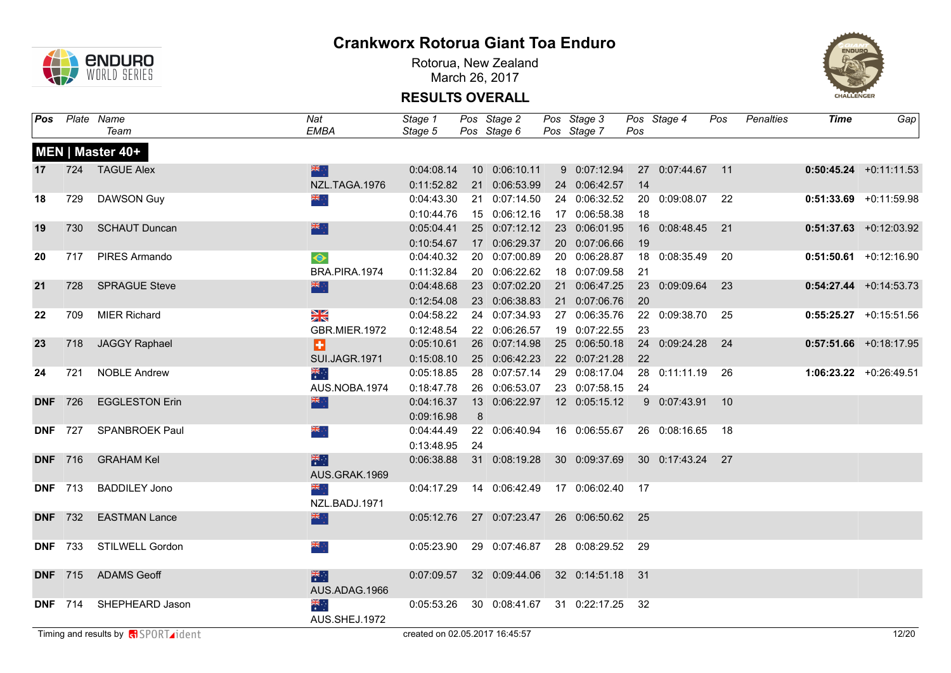

Rotorua, New Zealand March 26, 2017



| Pos |                | Plate Name                                        | Nat                  | Stage 1                        |    | Pos Stage 2                                | Pos Stage 3      |      | Pos Stage 4        | Pos  | Penalties | <b>Time</b> | Gap                      |
|-----|----------------|---------------------------------------------------|----------------------|--------------------------------|----|--------------------------------------------|------------------|------|--------------------|------|-----------|-------------|--------------------------|
|     |                | Team                                              | EMBA                 | Stage 5                        |    | Pos Stage 6                                | Pos Stage 7      | Pos  |                    |      |           |             |                          |
|     |                | MEN   Master 40+                                  |                      |                                |    |                                            |                  |      |                    |      |           |             |                          |
| 17  |                | 724 TAGUE Alex                                    | 米宁                   | 0:04:08.14                     |    | 10 0:06:10.11                              | 9 0:07:12.94     |      | 27 0:07:44.67 11   |      |           |             | $0:50:45.24 +0:11:11.53$ |
|     |                |                                                   | NZL.TAGA.1976        | 0:11:52.82                     |    | 21 0:06:53.99                              | 24 0:06:42.57    | 14   |                    |      |           |             |                          |
| 18  | 729            | <b>DAWSON Guy</b>                                 | $\frac{1}{2}$        | 0:04:43.30                     |    | 21 0:07:14.50                              | 24 0:06:32.52    |      | 20 0:09:08.07 22   |      |           |             | $0:51:33.69$ +0:11:59.98 |
|     |                |                                                   |                      | 0:10:44.76                     |    | 15 0:06:12.16                              | 17 0:06:58.38    | 18   |                    |      |           |             |                          |
| 19  | 730            | <b>SCHAUT Duncan</b>                              | 深心                   | 0:05:04.41                     |    | 25 0:07:12.12                              | 23 0:06:01.95    |      | 16  0:08:48.45  21 |      |           |             | $0:51:37.63$ +0:12:03.92 |
|     |                |                                                   |                      | 0:10:54.67                     |    | 17 0:06:29.37                              | 20 0:07:06.66    | 19   |                    |      |           |             |                          |
| 20  | 717            | PIRES Armando                                     | $\bullet$            | 0:04:40.32                     |    | 20 0:07:00.89                              | 20 0:06:28.87    |      | 18 0:08:35.49 20   |      |           |             | $0:51:50.61$ +0:12:16.90 |
|     |                |                                                   | BRA.PIRA.1974        | 0:11:32.84                     |    | 20 0:06:22.62                              | 18 0:07:09.58    | 21   |                    |      |           |             |                          |
| 21  | 728            | <b>SPRAGUE Steve</b>                              | 米亭                   | 0:04:48.68                     |    | 23 0:07:02.20                              | 21 0:06:47.25    |      | 23 0:09:09.64      | 23   |           |             | $0:54:27.44 +0:14:53.73$ |
|     |                |                                                   |                      | 0:12:54.08                     |    | 23 0:06:38.83                              | 21 0:07:06.76    | 20   |                    |      |           |             |                          |
| 22  | 709            | <b>MIER Richard</b>                               | XK                   | 0:04:58.22                     |    | 24 0:07:34.93                              | 27 0:06:35.76    |      | 22 0:09:38.70 25   |      |           |             | $0:55:25.27$ +0:15:51.56 |
|     |                |                                                   | <b>GBR.MIER.1972</b> | 0:12:48.54                     |    | 22 0:06:26.57                              | 19 0:07:22.55    | 23   |                    |      |           |             |                          |
| 23  | 718            | <b>JAGGY Raphael</b>                              | Ð                    | 0:05:10.61                     |    | 26 0:07:14.98                              | 25 0:06:50.18    |      | 24 0:09:24.28 24   |      |           |             | $0:57:51.66$ +0:18:17.95 |
|     |                |                                                   | SUI.JAGR.1971        | 0:15:08.10                     |    | 25 0:06:42.23                              | 22 0:07:21.28    | 22   |                    |      |           |             |                          |
| 24  | 721            | <b>NOBLE Andrew</b>                               | $\frac{1}{\sqrt{2}}$ | 0:05:18.85                     |    | 28 0:07:57.14                              | 29 0:08:17.04    |      | 28 0:11:11.19 26   |      |           |             | 1:06:23.22 +0:26:49.51   |
|     |                |                                                   | AUS.NOBA.1974        | 0:18:47.78                     |    | 26 0:06:53.07                              | 23 0:07:58.15    | 24   |                    |      |           |             |                          |
|     | <b>DNF</b> 726 | <b>EGGLESTON Erin</b>                             | 米宁                   | 0:04:16.37                     |    | 13 0:06:22.97                              | 12 0:05:15.12    |      | 9 0:07:43.91 10    |      |           |             |                          |
|     |                |                                                   |                      | 0:09:16.98                     | 8  |                                            |                  |      |                    |      |           |             |                          |
|     | <b>DNF</b> 727 | <b>SPANBROEK Paul</b>                             | $\frac{1}{2}$        | 0:04:44.49                     |    | 22 0:06:40.94                              | 16 0:06:55.67    |      | 26 0:08:16.65      | - 18 |           |             |                          |
|     |                |                                                   |                      | 0:13:48.95                     | 24 |                                            |                  |      |                    |      |           |             |                          |
|     | <b>DNF</b> 716 | <b>GRAHAM Kel</b>                                 | 米                    | 0:06:38.88                     |    | 31 0:08:19.28                              | 30 0:09:37.69    |      | 30 0:17:43.24 27   |      |           |             |                          |
|     |                |                                                   | AUS.GRAK.1969        |                                |    |                                            |                  |      |                    |      |           |             |                          |
|     | <b>DNF</b> 713 | <b>BADDILEY Jono</b>                              | $\frac{1}{2}$        |                                |    | 0:04:17.29  14  0:06:42.49  17  0:06:02.40 |                  | 17   |                    |      |           |             |                          |
|     |                |                                                   | NZL.BADJ.1971        |                                |    |                                            |                  |      |                    |      |           |             |                          |
|     | <b>DNF</b> 732 | <b>EASTMAN Lance</b>                              | 米亭                   | 0:05:12.76                     |    | 27 0:07:23.47                              | 26 0:06:50.62 25 |      |                    |      |           |             |                          |
|     |                |                                                   |                      |                                |    |                                            |                  |      |                    |      |           |             |                          |
|     | <b>DNF</b> 733 | STILWELL Gordon                                   | ÷, <mark>≫</mark>    | 0:05:23.90                     |    | 29 0:07:46.87                              | 28 0:08:29.52    | 29   |                    |      |           |             |                          |
|     |                |                                                   |                      |                                |    |                                            |                  |      |                    |      |           |             |                          |
|     | <b>DNF</b> 715 | <b>ADAMS Geoff</b>                                | 米村                   | 0:07:09.57                     |    | 32 0:09:44.06                              | 32 0:14:51.18    | - 31 |                    |      |           |             |                          |
|     |                |                                                   | AUS.ADAG.1966        |                                |    |                                            |                  |      |                    |      |           |             |                          |
|     |                | DNF 714 SHEPHEARD Jason                           | ▓                    |                                |    | 0:05:53.26 30 0:08:41.67 31 0:22:17.25     |                  | - 32 |                    |      |           |             |                          |
|     |                |                                                   | AUS.SHEJ.1972        |                                |    |                                            |                  |      |                    |      |           |             |                          |
|     |                | Timing and results by <b>R</b> SPORT <b>ident</b> |                      | created on 02.05.2017 16:45:57 |    |                                            |                  |      |                    |      |           |             | 12/20                    |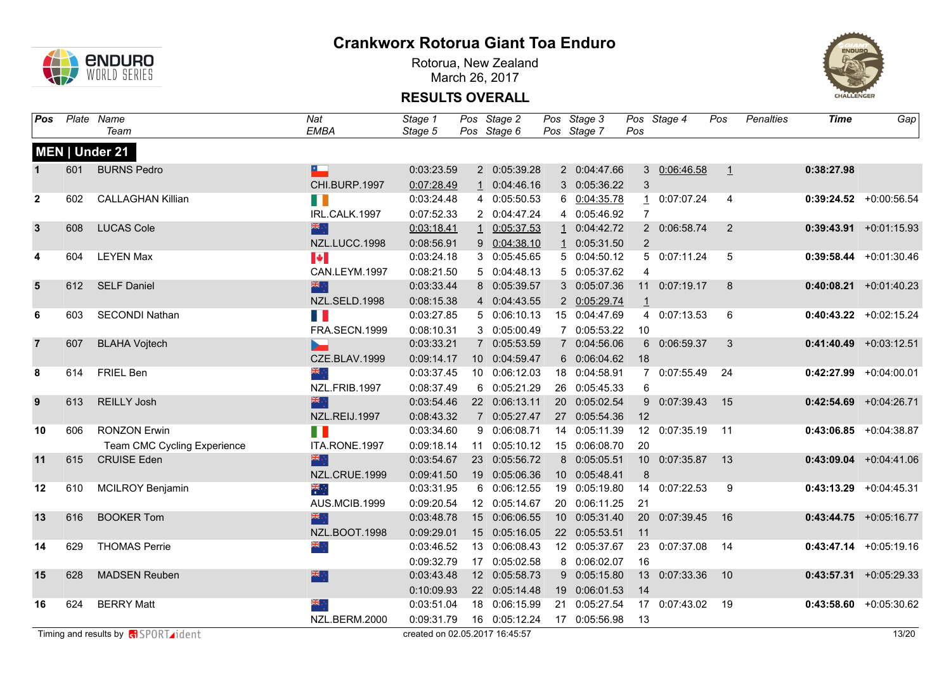

Rotorua, New Zealand March 26, 2017



| Pos            |     | Plate Name                                    | Nat                   | Stage 1                        | Pos Stage 2   | Pos Stage 3   |                | Pos Stage 4   | Pos            | <b>Penalties</b> | <b>Time</b> | Gap                       |
|----------------|-----|-----------------------------------------------|-----------------------|--------------------------------|---------------|---------------|----------------|---------------|----------------|------------------|-------------|---------------------------|
|                |     | Team                                          | <b>EMBA</b>           | Stage 5                        | Pos Stage 6   | Pos Stage 7   | Pos            |               |                |                  |             |                           |
|                |     | MEN   Under 21                                |                       |                                |               |               |                |               |                |                  |             |                           |
| $\mathbf{1}$   | 601 | <b>BURNS Pedro</b>                            | ×.                    | 0:03:23.59                     | 2 0:05:39.28  | 2 0:04:47.66  |                | 3 0:06:46.58  | $\perp$        |                  | 0:38:27.98  |                           |
|                |     |                                               | CHI.BURP.1997         | 0:07:28.49                     | 1 0:04:46.16  | 3 0:05:36.22  | 3              |               |                |                  |             |                           |
| $\mathbf{2}$   | 602 | <b>CALLAGHAN Killian</b>                      | M.                    | 0:03:24.48                     | 4 0:05:50.53  | 6 0:04:35.78  |                | 1 0:07:07.24  | $\overline{4}$ |                  |             | $0:39:24.52$ +0:00:56.54  |
|                |     |                                               | IRL.CALK.1997         | 0:07:52.33                     | 2 0:04:47.24  | 4 0:05:46.92  | $\overline{7}$ |               |                |                  |             |                           |
| $\mathbf{3}$   | 608 | <b>LUCAS Cole</b>                             | 米亭                    | 0:03:18.41                     | 1 0:05:37.53  | 1 0:04:42.72  |                | 2 0:06:58.74  | $\overline{2}$ |                  |             | $0:39:43.91 + 0:01:15.93$ |
|                |     |                                               | NZL.LUCC.1998         | 0:08:56.91                     | 9 0:04:38.10  | 1 0:05:31.50  | $\overline{2}$ |               |                |                  |             |                           |
| 4              | 604 | <b>LEYEN Max</b>                              | $\blacktriangleright$ | 0:03:24.18                     | 3 0:05:45.65  | 5 0:04:50.12  |                | 5 0:07:11.24  | 5              |                  |             | $0:39:58.44 +0:01:30.46$  |
|                |     |                                               | CAN.LEYM.1997         | 0:08:21.50                     | 5 0:04:48.13  | 5 0:05:37.62  | 4              |               |                |                  |             |                           |
| $5\phantom{1}$ | 612 | <b>SELF Daniel</b>                            | 器                     | 0:03:33.44                     | 8 0:05:39.57  | 3 0:05:07.36  |                | 11 0:07:19.17 | 8              |                  |             | $0:40:08.21 +0:01:40.23$  |
|                |     |                                               | NZL.SELD.1998         | 0:08:15.38                     | 4 0:04:43.55  | 2 0:05:29.74  | $\mathbf{1}$   |               |                |                  |             |                           |
| 6              | 603 | <b>SECONDI Nathan</b>                         | H.                    | 0:03:27.85                     | 5 0:06:10.13  | 15 0:04:47.69 |                | 4 0:07:13.53  | 6              |                  |             | $0:40:43.22$ +0:02:15.24  |
|                |     |                                               | FRA.SECN.1999         | 0:08:10.31                     | 3 0:05:00.49  | 7 0:05:53.22  | 10             |               |                |                  |             |                           |
| $\overline{7}$ | 607 | <b>BLAHA Vojtech</b>                          |                       | 0:03:33.21                     | 7 0:05:53.59  | 7 0:04:56.06  |                | 6 0:06:59.37  | $\mathbf{3}$   |                  |             | $0:41:40.49$ +0:03:12.51  |
|                |     |                                               | CZE.BLAV.1999         | 0:09:14.17                     | 10 0:04:59.47 | 6 0:06:04.62  | 18             |               |                |                  |             |                           |
| 8              | 614 | FRIEL Ben                                     | $\frac{1}{2}$         | 0:03:37.45                     | 10 0:06:12.03 | 18 0:04:58.91 |                | 7 0:07:55.49  | 24             |                  |             | $0:42:27.99$ +0:04:00.01  |
|                |     |                                               | NZL.FRIB.1997         | 0:08:37.49                     | 6 0:05:21.29  | 26 0:05:45.33 | 6              |               |                |                  |             |                           |
| 9              | 613 | <b>REILLY Josh</b>                            | 深心                    | 0:03:54.46                     | 22 0:06:13.11 | 20 0:05:02.54 |                | 9 0:07:39.43  | 15             |                  |             | $0:42:54.69$ +0:04:26.71  |
|                |     |                                               | NZL.REIJ.1997         | 0:08:43.32                     | 7 0:05:27.47  | 27 0:05:54.36 | 12             |               |                |                  |             |                           |
| 10             | 606 | <b>RONZON Erwin</b>                           | T.                    | 0:03:34.60                     | 9 0:06:08.71  | 14 0:05:11.39 |                | 12 0:07:35.19 | 11             |                  |             | $0:43:06.85$ +0:04:38.87  |
|                |     | Team CMC Cycling Experience                   | ITA.RONE.1997         | 0:09:18.14                     | 11 0:05:10.12 | 15 0:06:08.70 | 20             |               |                |                  |             |                           |
| 11             | 615 | <b>CRUISE Eden</b>                            | 米市                    | 0:03:54.67                     | 23 0:05:56.72 | 8 0:05:05.51  |                | 10 0:07:35.87 | 13             |                  |             | $0:43:09.04$ +0:04:41.06  |
|                |     |                                               | NZL.CRUE.1999         | 0:09:41.50                     | 19 0:05:06.36 | 10 0:05:48.41 | $\bf 8$        |               |                |                  |             |                           |
| 12             | 610 | <b>MCILROY Benjamin</b>                       | ैँँ                   | 0:03:31.95                     | 6 0:06:12.55  | 19 0:05:19.80 |                | 14 0:07:22.53 | 9              |                  |             | $0:43:13.29$ +0:04:45.31  |
|                |     |                                               | AUS.MCIB.1999         | 0:09:20.54                     | 12 0:05:14.67 | 20 0:06:11.25 | 21             |               |                |                  |             |                           |
| 13             | 616 | <b>BOOKER Tom</b>                             | 深心                    | 0:03:48.78                     | 15 0:06:06.55 | 10 0:05:31.40 |                | 20 0:07:39.45 | 16             |                  |             | $0:43:44.75$ +0:05:16.77  |
|                |     |                                               | NZL.BOOT.1998         | 0:09:29.01                     | 15 0:05:16.05 | 22 0:05:53.51 | 11             |               |                |                  |             |                           |
| 14             | 629 | <b>THOMAS Perrie</b>                          | $\frac{1}{2}$         | 0:03:46.52                     | 13 0:06:08.43 | 12 0:05:37.67 |                | 23 0:07:37.08 | 14             |                  |             | $0:43:47.14$ +0:05:19.16  |
|                |     |                                               |                       | 0:09:32.79                     | 17 0:05:02.58 | 8 0:06:02.07  | 16             |               |                |                  |             |                           |
| 15             | 628 | <b>MADSEN Reuben</b>                          | 深心                    | 0:03:43.48                     | 12 0:05:58.73 | 9 0:05:15.80  |                | 13 0:07:33.36 | 10             |                  |             | $0:43:57.31 + 0:05:29.33$ |
|                |     |                                               |                       | 0:10:09.93                     | 22 0:05:14.48 | 19 0:06:01.53 | 14             |               |                |                  |             |                           |
| 16             | 624 | <b>BERRY Matt</b>                             | ैं, और                | 0:03:51.04                     | 18 0:06:15.99 | 21 0:05:27.54 |                | 17 0:07:43.02 | 19             |                  |             | $0:43:58.60 + 0:05:30.62$ |
|                |     |                                               | NZL.BERM.2000         | 0:09:31.79                     | 16 0:05:12.24 | 17 0:05:56.98 | 13             |               |                |                  |             |                           |
|                |     | Timing and results by $\bigoplus$ SPORT ident |                       | created on 02.05.2017 16:45:57 |               |               |                |               |                |                  |             | 13/20                     |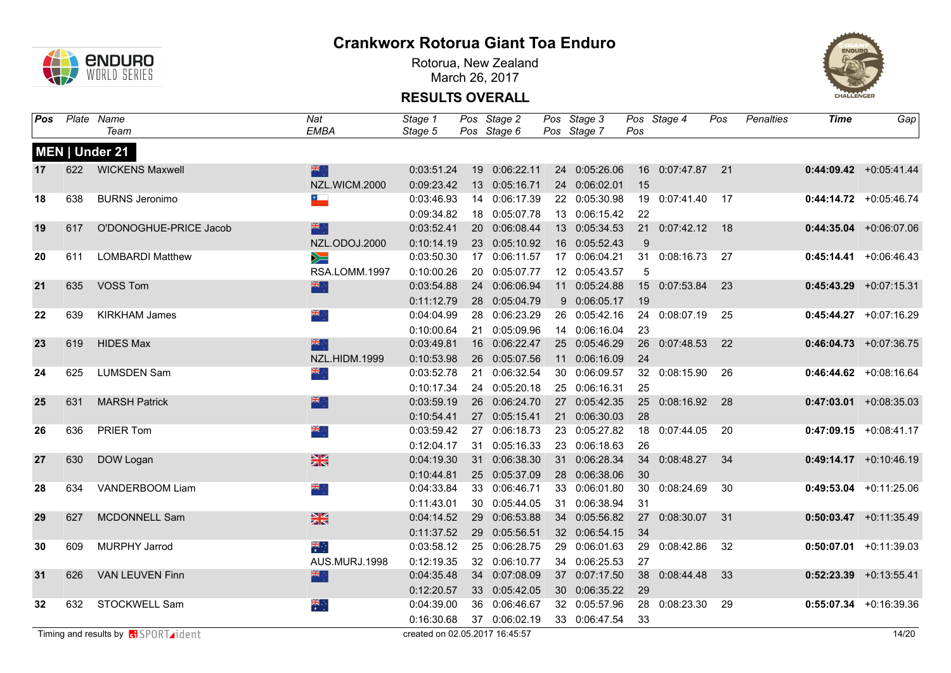

Rotorua, New Zealand March 26, 2017



| Pos |     | Plate Name                                 | Nat                      | Stage 1                        | Pos Stage 2   | Pos Stage 3   |     | Pos Stage 4        | Pos | Penalties | <b>Time</b> | Gap                       |
|-----|-----|--------------------------------------------|--------------------------|--------------------------------|---------------|---------------|-----|--------------------|-----|-----------|-------------|---------------------------|
|     |     | Team                                       | EMBA                     | Stage 5                        | Pos Stage 6   | Pos Stage 7   | Pos |                    |     |           |             |                           |
|     |     | MEN   Under 21                             |                          |                                |               |               |     |                    |     |           |             |                           |
| 17  | 622 | <b>WICKENS Maxwell</b>                     | 米                        | 0:03:51.24                     | 19 0:06:22.11 | 24 0:05:26.06 |     | 16  0:07:47.87  21 |     |           |             | $0:44:09.42$ +0:05:41.44  |
|     |     |                                            | NZL.WICM.2000            | 0:09:23.42                     | 13 0:05:16.71 | 24 0:06:02.01 | 15  |                    |     |           |             |                           |
| 18  | 638 | <b>BURNS Jeronimo</b>                      | $\overline{\phantom{a}}$ | 0:03:46.93                     | 14 0:06:17.39 | 22 0:05:30.98 |     | 19 0:07:41.40      | 17  |           |             | $0:44:14.72$ +0:05:46.74  |
|     |     |                                            |                          | 0:09:34.82                     | 18 0:05:07.78 | 13 0:06:15.42 | 22  |                    |     |           |             |                           |
| 19  | 617 | O'DONOGHUE-PRICE Jacob                     | 器                        | 0:03:52.41                     | 20 0:06:08.44 | 13 0:05:34.53 |     | 21 0:07:42.12 18   |     |           |             | $0:44:35.04$ +0:06:07.06  |
|     |     |                                            | NZL.ODOJ.2000            | 0:10:14.19                     | 23 0:05:10.92 | 16 0:05:52.43 | 9   |                    |     |           |             |                           |
| 20  | 611 | <b>LOMBARDI Matthew</b>                    | $\geqslant$              | 0:03:50.30                     | 17 0:06:11.57 | 17 0:06:04.21 |     | 31 0:08:16.73      | -27 |           |             | $0:45:14.41 + 0:06:46.43$ |
|     |     |                                            | RSA.LOMM.1997            | 0:10:00.26                     | 20 0:05:07.77 | 12 0:05:43.57 | 5   |                    |     |           |             |                           |
| 21  | 635 | VOSS Tom                                   | 深深                       | 0:03:54.88                     | 24 0:06:06.94 | 11 0:05:24.88 |     | 15 0:07:53.84      | 23  |           |             | $0:45:43.29$ +0:07:15.31  |
|     |     |                                            |                          | 0:11:12.79                     | 28 0:05:04.79 | 9 0:06:05.17  | 19  |                    |     |           |             |                           |
| 22  | 639 | <b>KIRKHAM James</b>                       | ÷, ≫k                    | 0:04:04.99                     | 28 0:06:23.29 | 26 0:05:42.16 |     | 24 0:08:07.19      | 25  |           |             | $0:45:44.27$ +0:07:16.29  |
|     |     |                                            |                          | 0:10:00.64                     | 21 0:05:09.96 | 14 0:06:16.04 | 23  |                    |     |           |             |                           |
| 23  | 619 | <b>HIDES Max</b>                           | 深亭                       | 0:03:49.81                     | 16 0:06:22.47 | 25 0:05:46.29 |     | 26 0:07:48.53      | 22  |           |             | $0:46:04.73$ +0:07:36.75  |
|     |     |                                            | NZL.HIDM.1999            | 0:10:53.98                     | 26 0:05:07.56 | 11 0:06:16.09 | 24  |                    |     |           |             |                           |
| 24  | 625 | <b>LUMSDEN Sam</b>                         | ÷, ak                    | 0:03:52.78                     | 21 0:06:32.54 | 30 0:06:09.57 |     | 32 0:08:15.90      | 26  |           |             | $0:46:44.62$ +0:08:16.64  |
|     |     |                                            |                          | 0:10:17.34                     | 24 0:05:20.18 | 25 0:06:16.31 | 25  |                    |     |           |             |                           |
| 25  | 631 | <b>MARSH Patrick</b>                       | 米宁                       | 0:03:59.19                     | 26 0:06:24.70 | 27 0:05:42.35 |     | 25 0:08:16.92 28   |     |           |             | $0:47:03.01$ +0:08:35.03  |
|     |     |                                            |                          | 0:10:54.41                     | 27 0:05:15.41 | 21 0:06:30.03 | 28  |                    |     |           |             |                           |
| 26  | 636 | PRIER Tom                                  | ैं, श्रेह                | 0:03:59.42                     | 27 0:06:18.73 | 23 0:05:27.82 |     | 18 0:07:44.05      | 20  |           |             | $0:47:09.15$ +0:08:41.17  |
|     |     |                                            |                          | 0:12:04.17                     | 31 0:05:16.33 | 23 0:06:18.63 | 26  |                    |     |           |             |                           |
| 27  | 630 | DOW Logan                                  | $\frac{N}{N}$            | 0:04:19.30                     | 31 0:06:38.30 | 31 0:06:28.34 |     | 34 0:08:48.27      | 34  |           |             | $0:49:14.17$ +0:10:46.19  |
|     |     |                                            |                          | 0:10:44.81                     | 25 0:05:37.09 | 28 0:06:38.06 | 30  |                    |     |           |             |                           |
| 28  | 634 | VANDERBOOM Liam                            | i, <mark>ak</mark>       | 0:04:33.84                     | 33 0:06:46.71 | 33 0:06:01.80 |     | 30 0:08:24.69      | 30  |           |             | $0:49:53.04$ +0:11:25.06  |
|     |     |                                            |                          | 0:11:43.01                     | 30 0:05:44.05 | 31 0:06:38.94 | 31  |                    |     |           |             |                           |
| 29  | 627 | MCDONNELL Sam                              | $\frac{N}{N}$            | 0:04:14.52                     | 29 0:06:53.88 | 34 0:05:56.82 |     | 27 0:08:30.07      | 31  |           |             | $0:50:03.47$ +0:11:35.49  |
|     |     |                                            |                          | 0:11:37.52                     | 29 0:05:56.51 | 32 0:06:54.15 | 34  |                    |     |           |             |                           |
| 30  | 609 | MURPHY Jarrod                              | ्हें                     | 0:03:58.12                     | 25 0:06:28.75 | 29 0:06:01.63 |     | 29 0:08:42.86      | 32  |           |             | $0:50:07.01$ +0:11:39.03  |
|     |     |                                            | AUS.MURJ.1998            | 0:12:19.35                     | 32 0:06:10.77 | 34 0:06:25.53 | 27  |                    |     |           |             |                           |
| 31  | 626 | <b>VAN LEUVEN Finn</b>                     | 器                        | 0:04:35.48                     | 34 0:07:08.09 | 37 0:07:17.50 | 38  | 0:08:44.48         | 33  |           |             | $0:52:23.39$ +0:13:55.41  |
|     |     |                                            |                          | 0:12:20.57                     | 33 0:05:42.05 | 30 0:06:35.22 | 29  |                    |     |           |             |                           |
| 32  | 632 | STOCKWELL Sam                              | $\frac{1}{\sqrt{2}}$     | 0:04:39.00                     | 36 0:06:46.67 | 32 0:05:57.96 |     | 28 0:08:23.30      | 29  |           |             | $0:55:07.34$ +0:16:39.36  |
|     |     |                                            |                          | 0:16:30.68                     | 37 0:06:02.19 | 33 0:06:47.54 | 33  |                    |     |           |             |                           |
|     |     | Timing and results by <b>R</b> SPORT ident |                          | created on 02.05.2017 16:45:57 |               |               |     |                    |     |           |             | 14/20                     |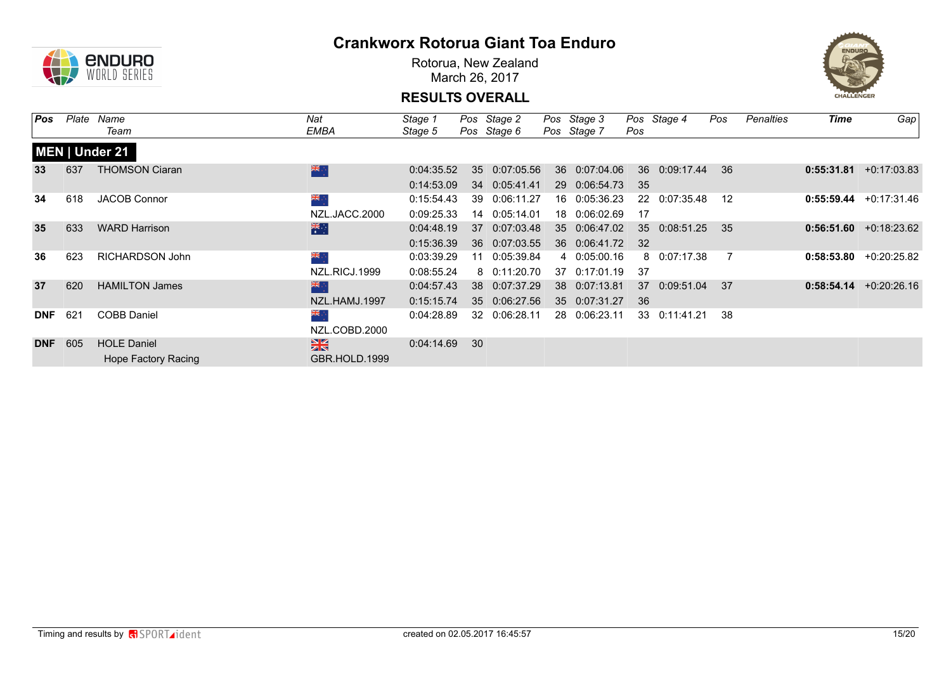

Rotorua, New Zealand March 26, 2017



| Pos        | Plate | Name                   | Nat           | Stage 1    |    | Pos Stage 2   |    | Pos Stage 3   |     | Pos Stage 4   | Pos | <b>Penalties</b> | <b>Time</b> | Gap                      |
|------------|-------|------------------------|---------------|------------|----|---------------|----|---------------|-----|---------------|-----|------------------|-------------|--------------------------|
|            |       | Team                   | EMBA          | Stage 5    |    | Pos Stage 6   |    | Pos Stage 7   | Pos |               |     |                  |             |                          |
|            |       | <b>MEN   Under 21</b>  |               |            |    |               |    |               |     |               |     |                  |             |                          |
| 33         | 637   | <b>THOMSON Ciaran</b>  | 米亭            | 0:04:35.52 | 35 | 0:07:05.56    |    | 36 0:07:04.06 | 36  | 0:09:17.44    | 36  |                  | 0:55:31.81  | $+0:17:03.83$            |
|            |       |                        |               | 0:14:53.09 |    | 34 0:05:41.41 |    | 29 0:06:54.73 | 35  |               |     |                  |             |                          |
| 34         | 618   | <b>JACOB Connor</b>    | ⊹, ak         | 0:15:54.43 | 39 | 0:06:11.27    |    | 16 0:05:36.23 |     | 22 0:07:35.48 | 12  |                  | 0:55:59.44  | +0:17:31.46              |
|            |       |                        | NZL.JACC.2000 | 0:09:25.33 |    | 14 0:05:14.01 |    | 18 0:06:02.69 | -17 |               |     |                  |             |                          |
| 35         | 633   | <b>WARD Harrison</b>   | 米             | 0:04:48.19 | 37 | 0:07:03.48    |    | 35 0:06:47.02 | 35  | 0:08:51.25    | 35  |                  |             | $0:56:51.60 +0:18:23.62$ |
|            |       |                        |               | 0:15:36.39 |    | 36 0:07:03.55 |    | 36 0:06:41.72 | 32  |               |     |                  |             |                          |
| 36         | 623   | <b>RICHARDSON John</b> | ÷, ≫k         | 0:03:39.29 | 11 | 0:05:39.84    |    | 4 0:05:00.16  |     | 8 0:07:17.38  |     |                  | 0:58:53.80  | +0:20:25.82              |
|            |       |                        | NZL.RICJ.1999 | 0:08:55.24 |    | 8 0:11:20.70  | 37 | 0:17:01.19    | 37  |               |     |                  |             |                          |
| 37         | 620   | <b>HAMILTON James</b>  | <b>SIR</b>    | 0:04:57.43 | 38 | 0:07:37.29    |    | 38 0:07:13.81 | 37  | 0:09:51.04    | 37  |                  | 0:58:54.14  | $+0:20:26.16$            |
|            |       |                        | NZL.HAMJ.1997 | 0:15:15.74 |    | 35 0:06:27.56 |    | 35 0:07:31.27 | 36  |               |     |                  |             |                          |
| <b>DNF</b> | 621   | <b>COBB Daniel</b>     | ÷, ≫k         | 0:04:28.89 |    | 32 0:06:28.11 |    | 28 0:06:23.11 |     | 33 0:11:41.21 | 38  |                  |             |                          |
|            |       |                        | NZL.COBD.2000 |            |    |               |    |               |     |               |     |                  |             |                          |
| <b>DNF</b> | 605   | <b>HOLE Daniel</b>     | $\frac{N}{N}$ | 0:04:14.69 | 30 |               |    |               |     |               |     |                  |             |                          |
|            |       | Hope Factory Racing    | GBR.HOLD.1999 |            |    |               |    |               |     |               |     |                  |             |                          |
|            |       |                        |               |            |    |               |    |               |     |               |     |                  |             |                          |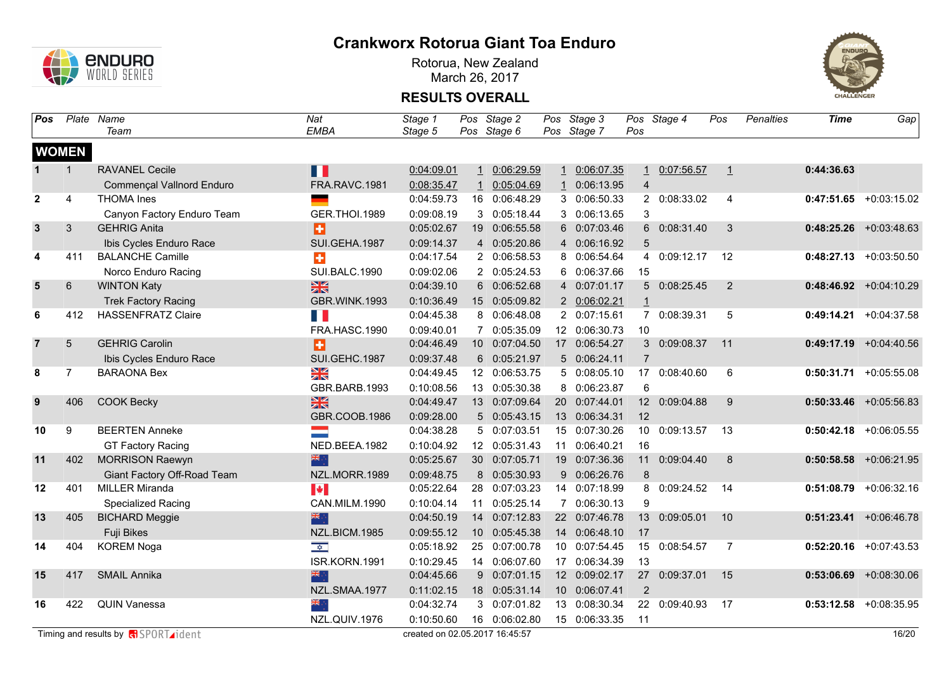

Rotorua, New Zealand March 26, 2017



| Pos                     |                 | Plate Name                  | Nat                     | Stage 1    |    | Pos Stage 2   | Pos Stage 3   |                | Pos Stage 4   | Pos     | <b>Penalties</b> | <b>Time</b> | Gap                       |
|-------------------------|-----------------|-----------------------------|-------------------------|------------|----|---------------|---------------|----------------|---------------|---------|------------------|-------------|---------------------------|
|                         |                 | Team                        | <b>EMBA</b>             | Stage 5    |    | Pos Stage 6   | Pos Stage 7   | Pos            |               |         |                  |             |                           |
|                         | <b>WOMEN</b>    |                             |                         |            |    |               |               |                |               |         |                  |             |                           |
| 1                       | $\mathbf 1$     | <b>RAVANEL Cecile</b>       | Ш                       | 0:04:09.01 |    | 1 0:06:29.59  | 1 0:06:07.35  |                | 1 0:07:56.57  | $\perp$ |                  | 0:44:36.63  |                           |
|                         |                 | Commençal Vallnord Enduro   | FRA.RAVC.1981           | 0:08:35.47 |    | 0:05:04.69    | 1 0:06:13.95  | $\overline{4}$ |               |         |                  |             |                           |
| $\overline{2}$          | $\overline{4}$  | <b>THOMA</b> Ines           |                         | 0:04:59.73 |    | 16 0:06:48.29 | 3 0:06:50.33  |                | 2 0:08:33.02  | 4       |                  |             | $0:47:51.65$ +0:03:15.02  |
|                         |                 | Canyon Factory Enduro Team  | <b>GER.THOI.1989</b>    | 0:09:08.19 |    | 3 0:05:18.44  | 3 0:06:13.65  | 3              |               |         |                  |             |                           |
| $\mathbf{3}$            | 3               | <b>GEHRIG Anita</b>         | Ð                       | 0:05:02.67 | 19 | 0:06:55.58    | 6 0:07:03.46  |                | 6 0:08:31.40  | 3       |                  |             | $0:48:25.26$ +0:03:48.63  |
|                         |                 | Ibis Cycles Enduro Race     | SUI.GEHA.1987           | 0:09:14.37 |    | 4 0:05:20.86  | 4 0:06:16.92  | 5              |               |         |                  |             |                           |
| 4                       | 411             | <b>BALANCHE Camille</b>     | ÷                       | 0:04:17.54 |    | 2 0:06:58.53  | 8 0:06:54.64  | 4              | 0:09:12.17    | 12      |                  |             | $0:48:27.13 + 0:03:50.50$ |
|                         |                 | Norco Enduro Racing         | SUI.BALC.1990           | 0:09:02.06 |    | 2 0:05:24.53  | 6 0:06:37.66  | 15             |               |         |                  |             |                           |
| $\overline{\mathbf{5}}$ | 6               | <b>WINTON Katy</b>          | $\frac{N}{N}$           | 0:04:39.10 |    | 6 0:06:52.68  | 4 0:07:01.17  |                | 5 0:08:25.45  | 2       |                  |             | $0:48:46.92 +0:04:10.29$  |
|                         |                 | <b>Trek Factory Racing</b>  | GBR.WINK.1993           | 0:10:36.49 |    | 15 0:05:09.82 | 2 0:06:02.21  |                |               |         |                  |             |                           |
| 6                       | 412             | <b>HASSENFRATZ Claire</b>   | Ш                       | 0:04:45.38 |    | 8 0:06:48.08  | 2 0:07:15.61  |                | 7 0:08:39.31  | 5       |                  |             | $0:49:14.21 + 0:04:37.58$ |
|                         |                 |                             | FRA.HASC.1990           | 0:09:40.01 |    | 7 0:05:35.09  | 12 0:06:30.73 | 10             |               |         |                  |             |                           |
| $\overline{7}$          | $5\phantom{.0}$ | <b>GEHRIG Carolin</b>       | Ð                       | 0:04:46.49 |    | 10 0:07:04.50 | 17 0:06:54.27 |                | 3 0:09:08.37  | 11      |                  |             | $0:49:17.19$ +0:04:40.56  |
|                         |                 | Ibis Cycles Enduro Race     | SUI.GEHC.1987           | 0:09:37.48 |    | 6 0:05:21.97  | 5 0:06:24.11  | $\overline{7}$ |               |         |                  |             |                           |
| 8                       | $\overline{7}$  | <b>BARAONA Bex</b>          | XK                      | 0:04:49.45 |    | 12 0:06:53.75 | 5 0:08:05.10  | 17             | 0:08:40.60    | 6       |                  | 0:50:31.71  | $+0:05:55.08$             |
|                         |                 |                             | GBR.BARB.1993           | 0:10:08.56 |    | 13 0:05:30.38 | 8 0:06:23.87  | 6              |               |         |                  |             |                           |
| 9                       | 406             | <b>COOK Becky</b>           | 米                       | 0:04:49.47 |    | 13 0:07:09.64 | 20 0:07:44.01 |                | 12 0:09:04.88 | 9       |                  |             | $0:50:33.46$ +0:05:56.83  |
|                         |                 |                             | GBR.COOB.1986           | 0:09:28.00 |    | 5 0:05:43.15  | 13 0:06:34.31 | 12             |               |         |                  |             |                           |
| 10                      | 9               | <b>BEERTEN Anneke</b>       | <b>Contract</b>         | 0:04:38.28 |    | 5 0:07:03.51  | 15 0:07:30.26 |                | 10 0:09:13.57 | 13      |                  | 0:50:42.18  | $+0.06:05.55$             |
|                         |                 | <b>GT Factory Racing</b>    | NED.BEEA.1982           | 0:10:04.92 |    | 12 0:05:31.43 | 11 0:06:40.21 | 16             |               |         |                  |             |                           |
| 11                      | 402             | <b>MORRISON Raewyn</b>      | 米市                      | 0:05:25.67 |    | 30 0:07:05.71 | 19 0:07:36.36 |                | 11 0:09:04.40 | 8       |                  |             | $0:50:58.58$ +0:06:21.95  |
|                         |                 | Giant Factory Off-Road Team | NZL.MORR.1989           | 0:09:48.75 |    | 8 0:05:30.93  | 9 0:06:26.76  | 8              |               |         |                  |             |                           |
| 12                      | 401             | <b>MILLER Miranda</b>       | $\blacktriangleright$   | 0:05:22.64 |    | 28 0:07:03.23 | 14 0:07:18.99 |                | 8 0:09:24.52  | 14      |                  | 0:51:08.79  | $+0.06:32.16$             |
|                         |                 | <b>Specialized Racing</b>   | CAN.MILM.1990           | 0:10:04.14 | 11 | 0:05:25.14    | 7 0:06:30.13  | 9              |               |         |                  |             |                           |
| 13                      | 405             | <b>BICHARD Meggie</b>       | 米市                      | 0:04:50.19 | 14 | 0:07:12.83    | 22 0:07:46.78 | 13             | 0:09:05.01    | 10      |                  |             | $0:51:23.41$ +0:06:46.78  |
|                         |                 | Fuji Bikes                  | NZL.BICM.1985           | 0:09:55.12 |    | 10 0:05:45.38 | 14 0:06:48.10 | 17             |               |         |                  |             |                           |
| 14                      | 404             | <b>KOREM Noga</b>           | $\overline{\mathbf{r}}$ | 0:05:18.92 | 25 | 0:07:00.78    | 10 0:07:54.45 | 15             | 0:08:54.57    | 7       |                  |             | $0:52:20.16$ +0:07:43.53  |
|                         |                 |                             | ISR.KORN.1991           | 0:10:29.45 |    | 14 0:06:07.60 | 17 0:06:34.39 | 13             |               |         |                  |             |                           |
| 15                      | 417             | <b>SMAIL Annika</b>         |                         | 0:04:45.66 |    | 9 0:07:01.15  | 12 0:09:02.17 |                | 27 0:09:37.01 | 15      |                  |             | $0:53:06.69$ +0:08:30.06  |
|                         |                 |                             | NZL.SMAA.1977           | 0:11:02.15 |    | 18 0:05:31.14 | 10 0:06:07.41 | $\overline{2}$ |               |         |                  |             |                           |
| 16                      | 422             | <b>QUIN Vanessa</b>         | ▓                       | 0:04:32.74 |    | 3 0:07:01.82  | 13 0:08:30.34 |                | 22 0:09:40.93 | 17      |                  |             | $0:53:12.58$ +0:08:35.95  |
|                         |                 |                             | NZL.QUIV.1976           | 0:10:50.60 |    | 16 0:06:02.80 | 15 0:06:33.35 | 11             |               |         |                  |             |                           |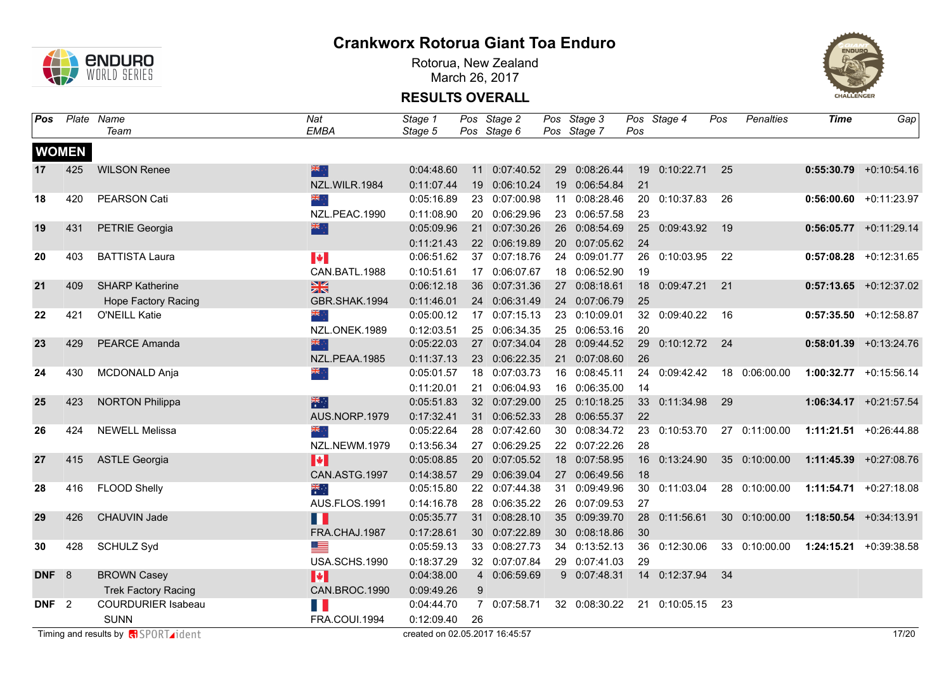

Rotorua, New Zealand March 26, 2017



| Pos              |              | Plate Name                                 | Nat                   | Stage 1                        |    | Pos Stage 2               | Pos Stage 3   |     | Pos Stage 4      | Pos  | <b>Penalties</b> | <b>Time</b> | Gap                       |
|------------------|--------------|--------------------------------------------|-----------------------|--------------------------------|----|---------------------------|---------------|-----|------------------|------|------------------|-------------|---------------------------|
|                  |              | Team                                       | <b>EMBA</b>           | Stage 5                        |    | Pos Stage 6               | Pos Stage 7   | Pos |                  |      |                  |             |                           |
|                  | <b>WOMEN</b> |                                            |                       |                                |    |                           |               |     |                  |      |                  |             |                           |
| 17               | 425          | <b>WILSON Renee</b>                        | 米宁                    | 0:04:48.60                     |    | 11 0:07:40.52             | 29 0:08:26.44 |     | 19 0:10:22.71 25 |      |                  |             | $0:55:30.79$ +0:10:54.16  |
|                  |              |                                            | NZL.WILR.1984         | 0:11:07.44                     |    | 19 0:06:10.24             | 19 0:06:54.84 | 21  |                  |      |                  |             |                           |
| 18               | 420          | PEARSON Cati                               | ं श्रेष्ठ             | 0:05:16.89                     |    | 23 0:07:00.98             | 11 0:08:28.46 |     | 20 0:10:37.83    | 26   |                  |             | $0:56:00.60$ +0:11:23.97  |
|                  |              |                                            | NZL.PEAC.1990         | 0:11:08.90                     |    | 20 0:06:29.96             | 23 0:06:57.58 | 23  |                  |      |                  |             |                           |
| 19               | 431          | <b>PETRIE Georgia</b>                      | 米宁                    | 0:05:09.96                     |    | 21 0:07:30.26             | 26 0:08:54.69 |     | 25 0:09:43.92    | 19   |                  |             | $0:56:05.77$ +0:11:29.14  |
|                  |              |                                            |                       | 0:11:21.43                     |    | 22 0:06:19.89             | 20 0:07:05.62 | 24  |                  |      |                  |             |                           |
| 20               | 403          | <b>BATTISTA Laura</b>                      | $\blacktriangleright$ | 0:06:51.62                     |    | 37 0:07:18.76             | 24 0:09:01.77 |     | 26 0:10:03.95    | 22   |                  |             | $0:57:08.28$ +0:12:31.65  |
|                  |              |                                            | CAN.BATL.1988         | 0:10:51.61                     |    | 17 0:06:07.67             | 18 0:06:52.90 | 19  |                  |      |                  |             |                           |
| 21               | 409          | <b>SHARP Katherine</b>                     | $\frac{N}{N}$         | 0:06:12.18                     |    | 36 0:07:31.36             | 27 0:08:18.61 |     | 18 0:09:47.21    | 21   |                  |             | $0:57:13.65$ +0:12:37.02  |
|                  |              | <b>Hope Factory Racing</b>                 | GBR.SHAK.1994         | 0:11:46.01                     |    | 24 0:06:31.49             | 24 0:07:06.79 | 25  |                  |      |                  |             |                           |
| 22               | 421          | O'NEILL Katie                              | ैं के                 | 0:05:00.12                     |    | 17 0:07:15.13             | 23 0:10:09.01 |     | 32 0:09:40.22    | - 16 |                  |             | $0:57:35.50$ +0:12:58.87  |
|                  |              |                                            | NZL.ONEK.1989         | 0:12:03.51                     |    | 25 0:06:34.35             | 25 0:06:53.16 | 20  |                  |      |                  |             |                           |
| 23               | 429          | <b>PEARCE Amanda</b>                       | 深心                    | 0:05:22.03                     |    | 27 0:07:34.04             | 28 0:09:44.52 | 29  | 0:10:12.72 24    |      |                  |             | $0:58:01.39$ +0:13:24.76  |
|                  |              |                                            | NZL.PEAA.1985         | 0:11:37.13                     |    | 23 0:06:22.35             | 21 0:07:08.60 | 26  |                  |      |                  |             |                           |
| 24               | 430          | <b>MCDONALD Anja</b>                       | ∴ <mark>≫</mark>      | 0:05:01.57                     |    | 18 0:07:03.73             | 16 0:08:45.11 |     | 24 0:09:42.42    |      | 18 0:06:00.00    |             | 1:00:32.77 +0:15:56.14    |
|                  |              |                                            |                       | 0:11:20.01                     |    | 21 0:06:04.93             | 16 0:06:35.00 | 14  |                  |      |                  |             |                           |
| 25               | 423          | <b>NORTON Philippa</b>                     | 深明                    | 0:05:51.83                     |    | 32 0:07:29.00             | 25 0:10:18.25 |     | 33 0:11:34.98    | 29   |                  |             | 1:06:34.17 +0:21:57.54    |
|                  |              |                                            | AUS.NORP.1979         | 0:17:32.41                     |    | 31 0:06:52.33             | 28 0:06:55.37 | 22  |                  |      |                  |             |                           |
| 26               | 424          | <b>NEWELL Melissa</b>                      |                       | 0:05:22.64                     |    | 28 0:07:42.60             | 30 0:08:34.72 |     | 23 0:10:53.70    |      | 27 0:11:00.00    |             | 1:11:21.51 +0:26:44.88    |
|                  |              |                                            | NZL.NEWM.1979         | 0:13:56.34                     |    | 27 0:06:29.25             | 22 0:07:22.26 | 28  |                  |      |                  |             |                           |
| 27               | 415          | <b>ASTLE Georgia</b>                       | $\blacktriangleright$ | 0:05:08.85                     |    | 20 0:07:05.52             | 18 0:07:58.95 |     | 16 0:13:24.90    |      | 35 0:10:00.00    |             | 1:11:45.39 +0:27:08.76    |
|                  |              |                                            | CAN.ASTG.1997         | 0:14:38.57                     |    | 29 0:06:39.04             | 27 0:06:49.56 | 18  |                  |      |                  |             |                           |
| 28               | 416          | FLOOD Shelly                               | ैं                    | 0:05:15.80                     |    | 22 0:07:44.38             | 31 0:09:49.96 |     | 30 0:11:03.04    |      | 28 0:10:00.00    |             | 1:11:54.71 +0:27:18.08    |
|                  |              |                                            | AUS.FLOS.1991         | 0:14:16.78                     |    | 28 0:06:35.22             | 26 0:07:09.53 | 27  |                  |      |                  |             |                           |
| 29               | 426          | CHAUVIN Jade                               | H                     | 0:05:35.77                     |    | 31 0:08:28.10             | 35 0:09:39.70 |     | 28 0:11:56.61    |      | 30 0:10:00.00    |             | $1:18:50.54 + 0:34:13.91$ |
|                  |              |                                            | FRA.CHAJ.1987         | 0:17:28.61                     |    | 30 0:07:22.89             | 30 0:08:18.86 | 30  |                  |      |                  |             |                           |
| 30               | 428          | <b>SCHULZ Syd</b>                          | ▀                     | 0:05:59.13                     |    | 33 0:08:27.73             | 34 0:13:52.13 |     | 36 0:12:30.06    |      | 33 0:10:00.00    |             | 1:24:15.21 +0:39:38.58    |
|                  |              |                                            | USA.SCHS.1990         | 0:18:37.29                     |    | 32 0:07:07.84             | 29 0:07:41.03 | 29  |                  |      |                  |             |                           |
| DNF 8            |              | <b>BROWN Casey</b>                         | H                     | 0:04:38.00                     |    | 4 0:06:59.69              | 9 0:07:48.31  |     | 14 0:12:37.94    | 34   |                  |             |                           |
|                  |              | <b>Trek Factory Racing</b>                 | CAN.BROC.1990         | 0:09:49.26                     | 9  |                           |               |     |                  |      |                  |             |                           |
| DNF <sub>2</sub> |              | <b>COURDURIER Isabeau</b>                  | H.                    | 0:04:44.70                     |    | 0:07:58.71<br>$7^{\circ}$ | 32 0:08:30.22 |     | 21 0:10:05.15    | 23   |                  |             |                           |
|                  |              | <b>SUNN</b>                                | FRA.COUI.1994         | 0:12:09.40                     | 26 |                           |               |     |                  |      |                  |             |                           |
|                  |              | Timing and results by <b>R</b> SPORT ident |                       | created on 02.05.2017 16:45:57 |    |                           |               |     |                  |      |                  |             | 17/20                     |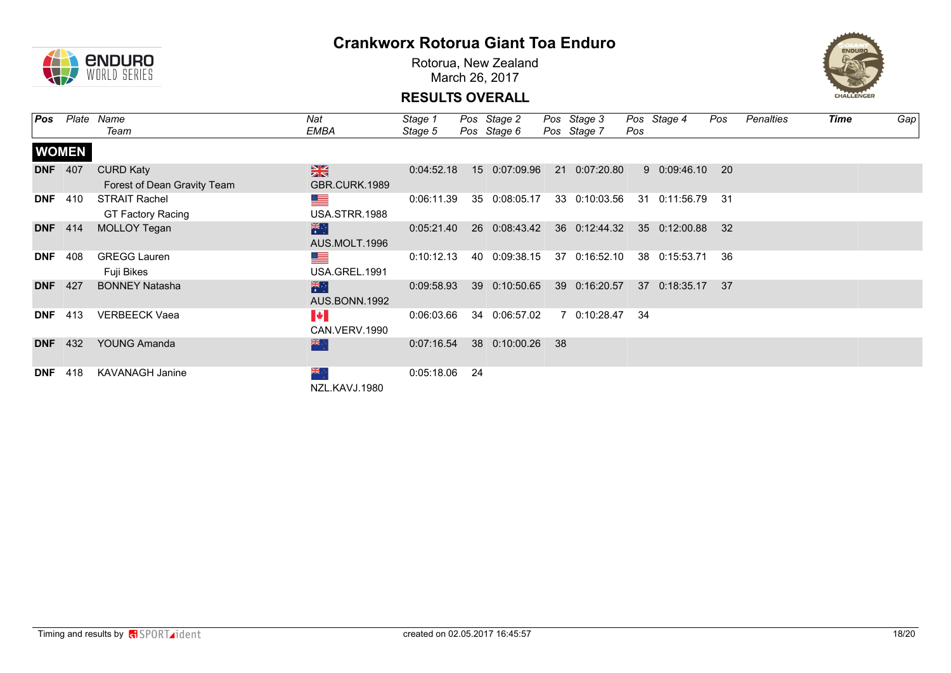

Rotorua, New Zealand March 26, 2017



| Pos        | Plate          | Name                        | Nat                   | Stage 1    |     | Pos Stage 2   |     | Pos Stage 3    |     | Pos Stage 4   | Pos  | Penalties | Time | Gap |
|------------|----------------|-----------------------------|-----------------------|------------|-----|---------------|-----|----------------|-----|---------------|------|-----------|------|-----|
|            |                | Team                        | EMBA                  | Stage 5    |     | Pos Stage 6   |     | Pos Stage 7    | Pos |               |      |           |      |     |
|            | <b>WOMEN</b>   |                             |                       |            |     |               |     |                |     |               |      |           |      |     |
| <b>DNF</b> | 407            | <b>CURD Katy</b>            | $\frac{N}{N}$         | 0:04:52.18 |     | 15 0:07:09.96 |     | 21 0:07:20.80  |     | 9 0:09:46.10  | - 20 |           |      |     |
|            |                | Forest of Dean Gravity Team | GBR.CURK.1989         |            |     |               |     |                |     |               |      |           |      |     |
| <b>DNF</b> | 410            | <b>STRAIT Rachel</b>        | <u>a a</u>            | 0:06:11.39 |     | 35 0:08:05.17 |     | 33 0:10:03.56  | -31 | 0:11:56.79    | -31  |           |      |     |
|            |                | <b>GT Factory Racing</b>    | USA.STRR.1988         |            |     |               |     |                |     |               |      |           |      |     |
|            | <b>DNF</b> 414 | MOLLOY Tegan                | 米                     | 0:05:21.40 |     | 26 0:08:43.42 |     | 36  0:12:44.32 |     | 35 0:12:00.88 | 32   |           |      |     |
|            |                |                             | AUS.MOLT.1996         |            |     |               |     |                |     |               |      |           |      |     |
| <b>DNF</b> | 408            | <b>GREGG Lauren</b>         | ▀                     | 0:10:12.13 |     | 40 0:09:38.15 |     | 37 0:16:52.10  |     | 38 0:15:53.71 | -36  |           |      |     |
|            |                | Fuji Bikes                  | USA.GREL.1991         |            |     |               |     |                |     |               |      |           |      |     |
|            | <b>DNF</b> 427 | <b>BONNEY Natasha</b>       | 米                     | 0:09:58.93 |     | 39 0:10:50.65 |     | 39 0:16:20.57  |     | 37 0:18:35.17 | - 37 |           |      |     |
|            |                |                             | AUS.BONN.1992         |            |     |               |     |                |     |               |      |           |      |     |
| <b>DNF</b> | 413            | <b>VERBEECK Vaea</b>        | $\blacktriangleright$ | 0:06:03.66 |     | 34 0:06:57.02 |     | 7 0:10:28.47   | -34 |               |      |           |      |     |
|            |                |                             | CAN.VERV.1990         |            |     |               |     |                |     |               |      |           |      |     |
| <b>DNF</b> | 432            | <b>YOUNG Amanda</b>         | 米心                    | 0:07:16.54 |     | 38 0:10:00.26 | -38 |                |     |               |      |           |      |     |
|            |                |                             |                       |            |     |               |     |                |     |               |      |           |      |     |
| <b>DNF</b> | 418            | <b>KAVANAGH Janine</b>      | ैं और                 | 0:05:18.06 | -24 |               |     |                |     |               |      |           |      |     |
|            |                |                             | NZL.KAVJ.1980         |            |     |               |     |                |     |               |      |           |      |     |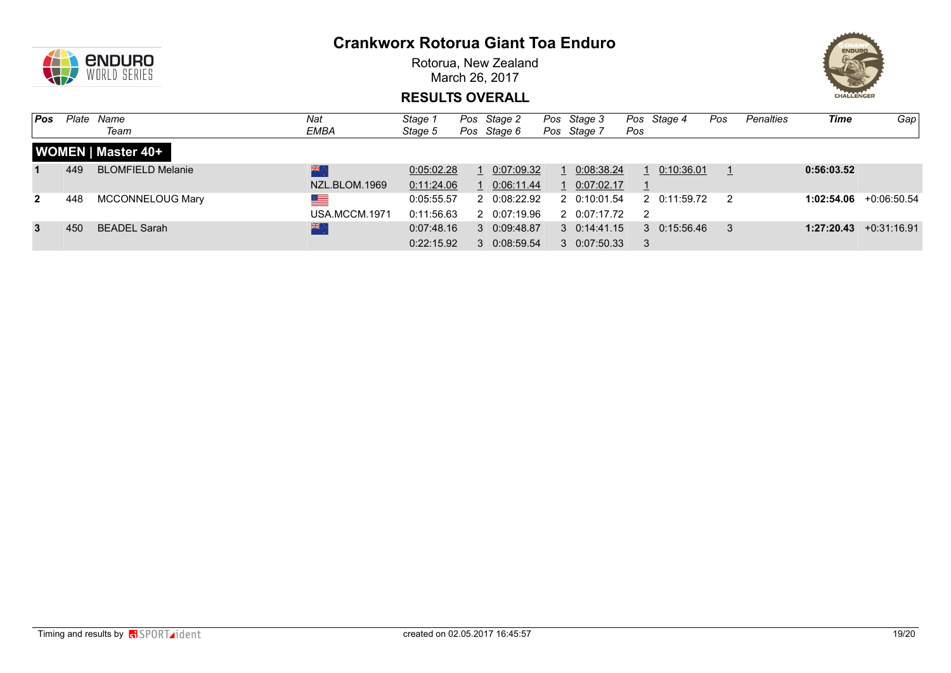

Rotorua, New Zealand March 26, 2017



| Pos          | Plate | Name                      | Nat                         | Stage 1                  | Pos Stage 2                  | Pos Stage 3                                  |                | Pos Stage 4          | Pos | <b>Penalties</b> | <b>Time</b> | Gap                      |
|--------------|-------|---------------------------|-----------------------------|--------------------------|------------------------------|----------------------------------------------|----------------|----------------------|-----|------------------|-------------|--------------------------|
|              |       | Team                      | EMBA                        | Stage 5                  | Pos Stage 6                  | Pos Stage 7                                  | Pos            |                      |     |                  |             |                          |
|              |       | <b>WOMEN   Master 40+</b> |                             |                          |                              |                                              |                |                      |     |                  |             |                          |
|              | 449   | <b>BLOMFIELD Melanie</b>  | 業<br>NZL.BLOM.1969          | 0:05:02.28<br>0:11:24.06 | 1 0:07:09.32<br>1 0:06:11.44 | 1 0:08:38.24<br>1 0:07:02.17                 |                | $1 \quad 0:10:36.01$ |     |                  | 0:56:03.52  |                          |
| $\mathbf{2}$ | 448   | MCCONNELOUG Mary          | <u>est</u><br>USA.MCCM.1971 | 0:05:55.57<br>0:11:56.63 | 2 0:08:22.92<br>2 0:07:19.96 | 2 0:10:01.54<br>2 0:07:17.72                 | $\overline{2}$ | 2 0:11:59.72         |     |                  |             | $1:02:54.06$ +0:06:50.54 |
| $\mathbf{3}$ | 450   | <b>BEADEL Sarah</b>       | 米                           | 0:07:48.16<br>0:22:15.92 | 3 0:09:48.87<br>3 0:08:59.54 | $3 \quad 0:14:41.15$<br>$3 \quad 0:07:50.33$ | -3             | $3 \quad 0:15:56.46$ |     |                  |             | $1:27:20.43$ +0:31:16.91 |